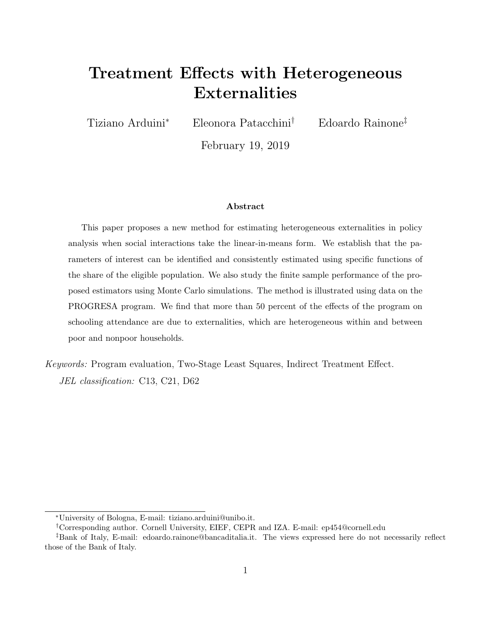# Treatment Effects with Heterogeneous Externalities

Tiziano Arduini<sup>∗</sup> Eleonora Patacchini† Edoardo Rainone‡

February 19, 2019

#### Abstract

This paper proposes a new method for estimating heterogeneous externalities in policy analysis when social interactions take the linear-in-means form. We establish that the parameters of interest can be identified and consistently estimated using specific functions of the share of the eligible population. We also study the finite sample performance of the proposed estimators using Monte Carlo simulations. The method is illustrated using data on the PROGRESA program. We find that more than 50 percent of the effects of the program on schooling attendance are due to externalities, which are heterogeneous within and between poor and nonpoor households.

Keywords: Program evaluation, Two-Stage Least Squares, Indirect Treatment Effect. JEL classification: C13, C21, D62

<sup>∗</sup>University of Bologna, E-mail: tiziano.arduini@unibo.it.

<sup>†</sup>Corresponding author. Cornell University, EIEF, CEPR and IZA. E-mail: ep454@cornell.edu

<sup>‡</sup>Bank of Italy, E-mail: edoardo.rainone@bancaditalia.it. The views expressed here do not necessarily reflect those of the Bank of Italy.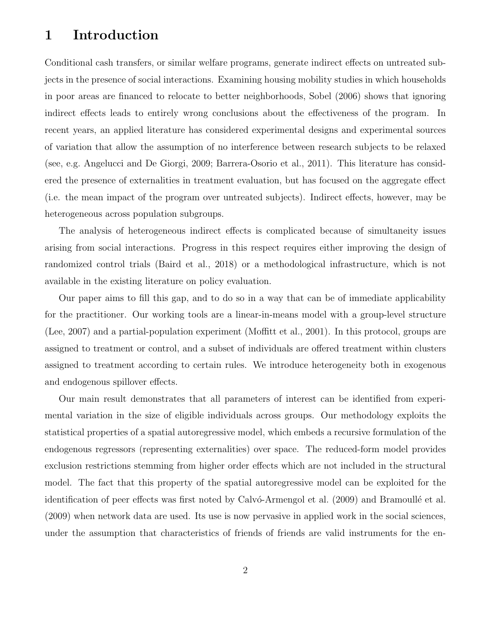### 1 Introduction

Conditional cash transfers, or similar welfare programs, generate indirect effects on untreated subjects in the presence of social interactions. Examining housing mobility studies in which households in poor areas are financed to relocate to better neighborhoods, Sobel (2006) shows that ignoring indirect effects leads to entirely wrong conclusions about the effectiveness of the program. In recent years, an applied literature has considered experimental designs and experimental sources of variation that allow the assumption of no interference between research subjects to be relaxed (see, e.g. Angelucci and De Giorgi, 2009; Barrera-Osorio et al., 2011). This literature has considered the presence of externalities in treatment evaluation, but has focused on the aggregate effect (i.e. the mean impact of the program over untreated subjects). Indirect effects, however, may be heterogeneous across population subgroups.

The analysis of heterogeneous indirect effects is complicated because of simultaneity issues arising from social interactions. Progress in this respect requires either improving the design of randomized control trials (Baird et al., 2018) or a methodological infrastructure, which is not available in the existing literature on policy evaluation.

Our paper aims to fill this gap, and to do so in a way that can be of immediate applicability for the practitioner. Our working tools are a linear-in-means model with a group-level structure (Lee, 2007) and a partial-population experiment (Moffitt et al., 2001). In this protocol, groups are assigned to treatment or control, and a subset of individuals are offered treatment within clusters assigned to treatment according to certain rules. We introduce heterogeneity both in exogenous and endogenous spillover effects.

Our main result demonstrates that all parameters of interest can be identified from experimental variation in the size of eligible individuals across groups. Our methodology exploits the statistical properties of a spatial autoregressive model, which embeds a recursive formulation of the endogenous regressors (representing externalities) over space. The reduced-form model provides exclusion restrictions stemming from higher order effects which are not included in the structural model. The fact that this property of the spatial autoregressive model can be exploited for the identification of peer effects was first noted by Calvo-Armengol et al. (2009) and Bramoullé et al. (2009) when network data are used. Its use is now pervasive in applied work in the social sciences, under the assumption that characteristics of friends of friends are valid instruments for the en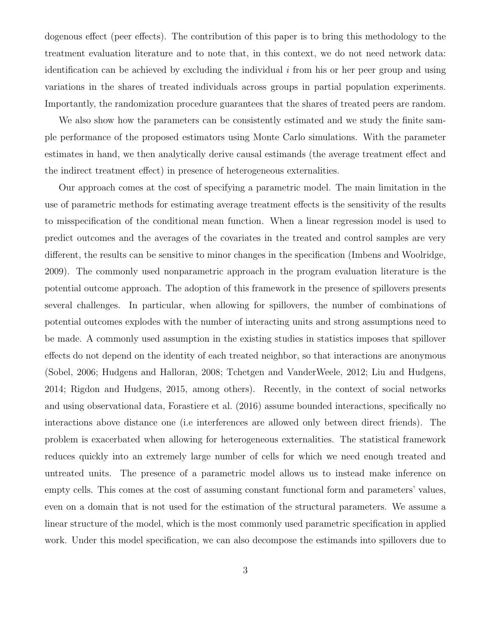dogenous effect (peer effects). The contribution of this paper is to bring this methodology to the treatment evaluation literature and to note that, in this context, we do not need network data: identification can be achieved by excluding the individual  $i$  from his or her peer group and using variations in the shares of treated individuals across groups in partial population experiments. Importantly, the randomization procedure guarantees that the shares of treated peers are random.

We also show how the parameters can be consistently estimated and we study the finite sample performance of the proposed estimators using Monte Carlo simulations. With the parameter estimates in hand, we then analytically derive causal estimands (the average treatment effect and the indirect treatment effect) in presence of heterogeneous externalities.

Our approach comes at the cost of specifying a parametric model. The main limitation in the use of parametric methods for estimating average treatment effects is the sensitivity of the results to misspecification of the conditional mean function. When a linear regression model is used to predict outcomes and the averages of the covariates in the treated and control samples are very different, the results can be sensitive to minor changes in the specification (Imbens and Woolridge, 2009). The commonly used nonparametric approach in the program evaluation literature is the potential outcome approach. The adoption of this framework in the presence of spillovers presents several challenges. In particular, when allowing for spillovers, the number of combinations of potential outcomes explodes with the number of interacting units and strong assumptions need to be made. A commonly used assumption in the existing studies in statistics imposes that spillover effects do not depend on the identity of each treated neighbor, so that interactions are anonymous (Sobel, 2006; Hudgens and Halloran, 2008; Tchetgen and VanderWeele, 2012; Liu and Hudgens, 2014; Rigdon and Hudgens, 2015, among others). Recently, in the context of social networks and using observational data, Forastiere et al. (2016) assume bounded interactions, specifically no interactions above distance one (i.e interferences are allowed only between direct friends). The problem is exacerbated when allowing for heterogeneous externalities. The statistical framework reduces quickly into an extremely large number of cells for which we need enough treated and untreated units. The presence of a parametric model allows us to instead make inference on empty cells. This comes at the cost of assuming constant functional form and parameters' values, even on a domain that is not used for the estimation of the structural parameters. We assume a linear structure of the model, which is the most commonly used parametric specification in applied work. Under this model specification, we can also decompose the estimands into spillovers due to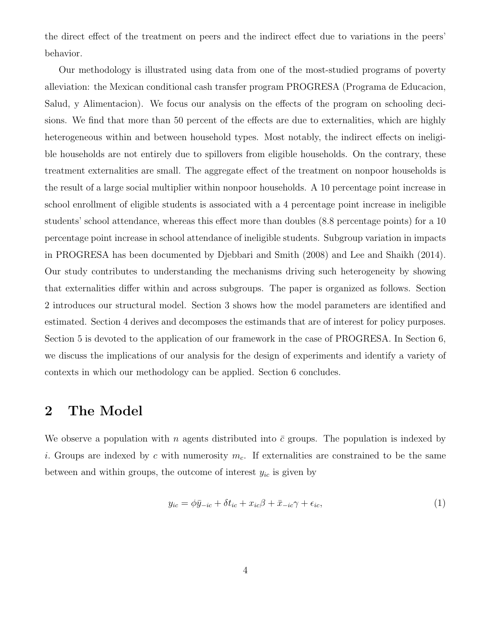the direct effect of the treatment on peers and the indirect effect due to variations in the peers' behavior.

Our methodology is illustrated using data from one of the most-studied programs of poverty alleviation: the Mexican conditional cash transfer program PROGRESA (Programa de Educacion, Salud, y Alimentacion). We focus our analysis on the effects of the program on schooling decisions. We find that more than 50 percent of the effects are due to externalities, which are highly heterogeneous within and between household types. Most notably, the indirect effects on ineligible households are not entirely due to spillovers from eligible households. On the contrary, these treatment externalities are small. The aggregate effect of the treatment on nonpoor households is the result of a large social multiplier within nonpoor households. A 10 percentage point increase in school enrollment of eligible students is associated with a 4 percentage point increase in ineligible students' school attendance, whereas this effect more than doubles (8.8 percentage points) for a 10 percentage point increase in school attendance of ineligible students. Subgroup variation in impacts in PROGRESA has been documented by Djebbari and Smith (2008) and Lee and Shaikh (2014). Our study contributes to understanding the mechanisms driving such heterogeneity by showing that externalities differ within and across subgroups. The paper is organized as follows. Section 2 introduces our structural model. Section 3 shows how the model parameters are identified and estimated. Section 4 derives and decomposes the estimands that are of interest for policy purposes. Section 5 is devoted to the application of our framework in the case of PROGRESA. In Section 6, we discuss the implications of our analysis for the design of experiments and identify a variety of contexts in which our methodology can be applied. Section 6 concludes.

### 2 The Model

We observe a population with n agents distributed into  $\bar{c}$  groups. The population is indexed by i. Groups are indexed by c with numerosity  $m_c$ . If externalities are constrained to be the same between and within groups, the outcome of interest  $y_{ic}$  is given by

$$
y_{ic} = \phi \bar{y}_{-ic} + \delta t_{ic} + x_{ic}\beta + \bar{x}_{-ic}\gamma + \epsilon_{ic},\tag{1}
$$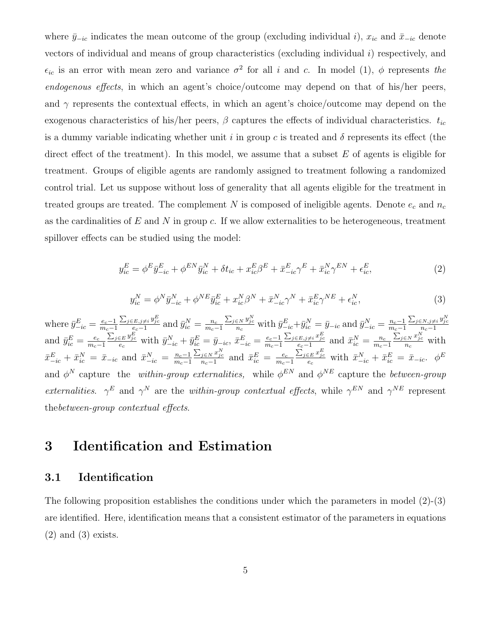where  $\bar{y}_{-ic}$  indicates the mean outcome of the group (excluding individual i),  $x_{ic}$  and  $\bar{x}_{-ic}$  denote vectors of individual and means of group characteristics (excluding individual i) respectively, and  $\epsilon_{ic}$  is an error with mean zero and variance  $\sigma^2$  for all i and c. In model (1),  $\phi$  represents the endogenous effects, in which an agent's choice/outcome may depend on that of his/her peers, and  $\gamma$  represents the contextual effects, in which an agent's choice/outcome may depend on the exogenous characteristics of his/her peers,  $\beta$  captures the effects of individual characteristics.  $t_{ic}$ is a dummy variable indicating whether unit i in group c is treated and  $\delta$  represents its effect (the direct effect of the treatment). In this model, we assume that a subset  $E$  of agents is eligible for treatment. Groups of eligible agents are randomly assigned to treatment following a randomized control trial. Let us suppose without loss of generality that all agents eligible for the treatment in treated groups are treated. The complement N is composed of ineligible agents. Denote  $e_c$  and  $n_c$ as the cardinalities of  $E$  and  $N$  in group  $c$ . If we allow externalities to be heterogeneous, treatment spillover effects can be studied using the model:

$$
y_{ic}^E = \phi^E \bar{y}_{-ic}^E + \phi^{EN} \bar{y}_{ic}^N + \delta t_{ic} + x_{ic}^E \beta^E + \bar{x}_{-ic}^E \gamma^E + \bar{x}_{ic}^N \gamma^{EN} + \epsilon_{ic}^E,\tag{2}
$$

$$
y_{ic}^N = \phi^N \bar{y}_{-ic}^N + \phi^{NE} \bar{y}_{ic}^E + x_{ic}^N \beta^N + \bar{x}_{-ic}^N \gamma^N + \bar{x}_{ic}^E \gamma^{NE} + \epsilon_{ic}^N,
$$
\n
$$
\tag{3}
$$

where  $\bar{y}^E_{-ic} = \frac{e_c-1}{m_c-1}$  $m_c-1$  $\frac{\sum_{j\in E, j\neq i}y_{jc}^E}{e_c-1}$  and  $\bar{y}_{ic}^N = \frac{n_c}{m_c-1}$  $m_c-1$  $\frac{\sum_{j\in N}y_{jc}^N}{n_c}$  with  $\bar{y}_{-ic}^E+\bar{y}_{ic}^N=\bar{y}_{-ic}$  and  $\bar{y}_{-ic}^N=\frac{n_c-1}{m_c-1}$  $m_c-1$  $\frac{\sum_{j\in N,j\neq i}y_{jc}^N}{n_c-1}$ and  $\bar{y}_{ic}^E = \frac{e_c}{m_c}$  $m_c-1$  $\frac{\sum_{j \in E} y_{jc}^{E}}{e_c}$  with  $\bar{y}_{-ic}^{N} + \bar{y}_{ic}^{E} = \bar{y}_{-ic}, \, \bar{x}_{-ic}^{E} = \frac{e_c - 1}{m_c - 1}$  $m_c-1$  $\frac{\sum_{j\in E,j\neq i} x_{jc}^E}{e_c-1}$  and  $\bar{x}_{ic}^N = \frac{n_c}{m_c-1}$  $m_c-1$  $\frac{\sum_{j\in N}x_{jc}^N}{n_c}$  with  $\bar{x}^E_{-ic} + \bar{x}^N_{ic} = \bar{x}_{-ic}$  and  $\bar{x}^N_{-ic} = \frac{n_c-1}{m_c-1}$  $m_c-1$  $\frac{\sum_{j\in N}x_{jc}^N}{n_c-1}$  and  $\bar{x}_{ic}^E = \frac{e_c}{m_c-1}$  $m_c-1$  $\frac{\sum_{j\in E} x_{jc}^E}{e_c}$  with  $\bar{x}_{-ic}^N + \bar{x}_{ic}^E = \bar{x}_{-ic}$ .  $\phi^E$ and  $\phi^N$  capture the *within-group externalities*, while  $\phi^{EN}$  and  $\phi^{NE}$  capture the *between-group* externalities.  $\gamma^E$  and  $\gamma^N$  are the within-group contextual effects, while  $\gamma^{EN}$  and  $\gamma^{NE}$  represent thebetween-group contextual effects.

# 3 Identification and Estimation

#### 3.1 Identification

The following proposition establishes the conditions under which the parameters in model  $(2)-(3)$ are identified. Here, identification means that a consistent estimator of the parameters in equations  $(2)$  and  $(3)$  exists.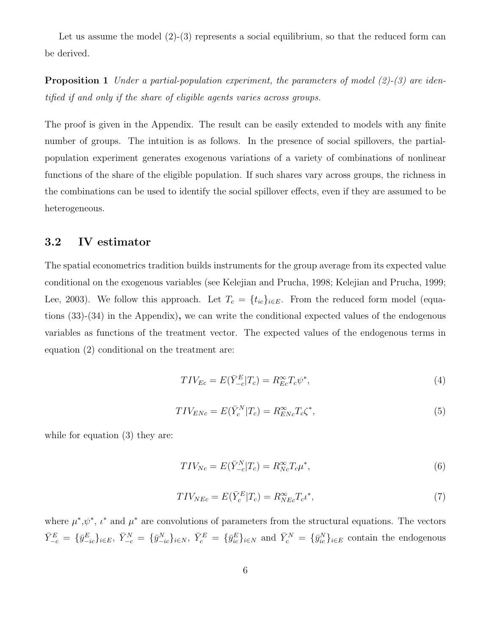Let us assume the model  $(2)-(3)$  represents a social equilibrium, so that the reduced form can be derived.

**Proposition 1** Under a partial-population experiment, the parameters of model  $(2)-(3)$  are identified if and only if the share of eligible agents varies across groups.

The proof is given in the Appendix. The result can be easily extended to models with any finite number of groups. The intuition is as follows. In the presence of social spillovers, the partialpopulation experiment generates exogenous variations of a variety of combinations of nonlinear functions of the share of the eligible population. If such shares vary across groups, the richness in the combinations can be used to identify the social spillover effects, even if they are assumed to be heterogeneous.

#### 3.2 IV estimator

The spatial econometrics tradition builds instruments for the group average from its expected value conditional on the exogenous variables (see Kelejian and Prucha, 1998; Kelejian and Prucha, 1999; Lee, 2003). We follow this approach. Let  $T_c = \{t_{ic}\}_{i \in E}$ . From the reduced form model (equations (33)-(34) in the Appendix), we can write the conditional expected values of the endogenous variables as functions of the treatment vector. The expected values of the endogenous terms in equation (2) conditional on the treatment are:

$$
TIV_{Ec} = E(\bar{Y}_{-c}^{E}|T_c) = R_{Ec}^{\infty} T_c \psi^*,
$$
\n<sup>(4)</sup>

$$
TIV_{ENC} = E(\bar{Y}_c^N | T_c) = R_{ENC}^{\infty} T_c \zeta^*,\tag{5}
$$

while for equation  $(3)$  they are:

$$
TIV_{Nc} = E(\bar{Y}_{-c}^N | T_c) = R_{Nc}^{\infty} T_c \mu^*,\tag{6}
$$

$$
TIV_{NEc} = E(\bar{Y}_c^E | T_c) = R_{NEc}^{\infty} T_c t^*,
$$
\n<sup>(7)</sup>

where  $\mu^*, \psi^*, \iota^*$  and  $\mu^*$  are convolutions of parameters from the structural equations. The vectors  $\bar{Y}_{-c}^{E} = \{\bar{y}_{-ic}^{E}\}_{i\in E}, \ \bar{Y}_{-c}^{N} = \{\bar{y}_{-ic}^{N}\}_{i\in N}, \ \bar{Y}_{c}^{E} = \{\bar{y}_{ic}^{E}\}_{i\in N} \text{ and } \bar{Y}_{c}^{N} = \{\bar{y}_{ic}^{N}\}_{i\in E} \text{ contain the endogenous}$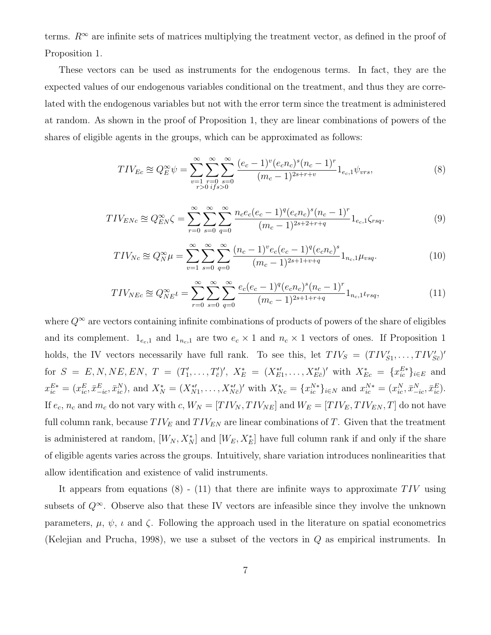terms.  $R^{\infty}$  are infinite sets of matrices multiplying the treatment vector, as defined in the proof of Proposition 1.

These vectors can be used as instruments for the endogenous terms. In fact, they are the expected values of our endogenous variables conditional on the treatment, and thus they are correlated with the endogenous variables but not with the error term since the treatment is administered at random. As shown in the proof of Proposition 1, they are linear combinations of powers of the shares of eligible agents in the groups, which can be approximated as follows:

$$
TIV_{Ec} \approx Q_E^{\infty} \psi = \sum_{\substack{v=1 \ r>0}}^{\infty} \sum_{\substack{r=0 \ r>0 \ ifs>0}}^{\infty} \frac{(e_c-1)^v (e_c n_c)^s (n_c-1)^r}{(m_c-1)^{2s+r+v}} 1_{e_c,1} \psi_{vrs},\tag{8}
$$

$$
TIV_{ENC} \cong Q_{EN}^{\infty} \zeta = \sum_{r=0}^{\infty} \sum_{s=0}^{\infty} \sum_{q=0}^{\infty} \frac{n_c e_c (e_c - 1)^q (e_c n_c)^s (n_c - 1)^r}{(m_c - 1)^{2s + 2 + r + q}} 1_{e_c, 1} \zeta_{rsq}.
$$
\n(9)

$$
TIV_{Nc} \approx Q_N^{\infty} \mu = \sum_{v=1}^{\infty} \sum_{s=0}^{\infty} \sum_{q=0}^{\infty} \frac{(n_c-1)^v e_c (e_c-1)^q (e_c n_c)^s}{(m_c-1)^{2s+1+v+q}} 1_{n_c,1} \mu_{vsq}.
$$
 (10)

$$
TIV_{NEc} \approx Q_{NE}^{\infty} \approx \sum_{r=0}^{\infty} \sum_{s=0}^{\infty} \sum_{q=0}^{\infty} \frac{e_c(e_c-1)^q (e_c n_c)^s (n_c-1)^r}{(m_c-1)^{2s+1+r+q}} 1_{n_c,1} \iota_{rsq},\tag{11}
$$

where  $Q^{\infty}$  are vectors containing infinite combinations of products of powers of the share of eligibles and its complement.  $1_{e_c,1}$  and  $1_{n_c,1}$  are two  $e_c \times 1$  and  $n_c \times 1$  vectors of ones. If Proposition 1 holds, the IV vectors necessarily have full rank. To see this, let  $TIV_S = (TIV_{S1}', \ldots, TIV_{S\bar{c}}')'$ for  $S = E, N, NE, EN, T = (T'_1, \ldots, T'_{\bar{c}})', X^*_{E} = (X^{*\prime}_{E1}, \ldots, X^{*\prime}_{E\bar{c}})'$  with  $X^*_{Ec} = \{x^{E*}_{ic}\}_{i \in E}$  and  $x_{ic}^{E*} = (x_{ic}^E, \bar{x}_{-ic}^E, \bar{x}_{ic}^N)$ , and  $X_N^* = (X_{N1}^{*\prime}, \ldots, X_{Nc}^{*\prime})'$  with  $X_{Nc}^* = \{x_{ic}^{N*}\}_{i \in N}$  and  $x_{ic}^{N*} = (x_{ic}^N, \bar{x}_{-ic}^N, \bar{x}_{ic}^E)$ . If  $e_c$ ,  $n_c$  and  $m_c$  do not vary with  $c$ ,  $W_N = [T IV_N, T IV_{NE}]$  and  $W_E = [T IV_E, T IV_{EN}, T]$  do not have full column rank, because  $T I V_E$  and  $T I V_{EN}$  are linear combinations of T. Given that the treatment is administered at random,  $[W_N, X_N^*]$  and  $[W_E, X_E^*]$  have full column rank if and only if the share of eligible agents varies across the groups. Intuitively, share variation introduces nonlinearities that allow identification and existence of valid instruments.

It appears from equations  $(8)$  -  $(11)$  that there are infinite ways to approximate TIV using subsets of  $Q^{\infty}$ . Observe also that these IV vectors are infeasible since they involve the unknown parameters,  $\mu$ ,  $\psi$ ,  $\iota$  and  $\zeta$ . Following the approach used in the literature on spatial econometrics (Kelejian and Prucha, 1998), we use a subset of the vectors in  $Q$  as empirical instruments. In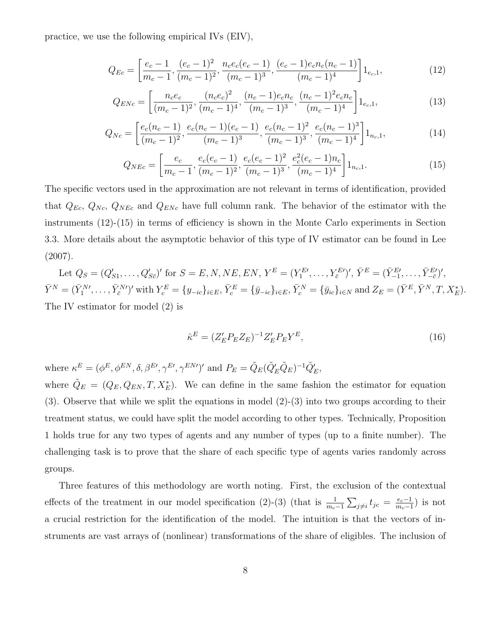practice, we use the following empirical IVs (EIV),

$$
Q_{Ec} = \left[\frac{e_c - 1}{m_c - 1}, \frac{(e_c - 1)^2}{(m_c - 1)^2}, \frac{n_c e_c (e_c - 1)}{(m_c - 1)^3}, \frac{(e_c - 1)e_c n_c (n_c - 1)}{(m_c - 1)^4}\right]1_{e_c,1},\tag{12}
$$

$$
Q_{ENC} = \left[ \frac{n_c e_c}{(m_c - 1)^2}, \frac{(n_c e_c)^2}{(m_c - 1)^4}, \frac{(n_c - 1)e_c n_c}{(m_c - 1)^3}, \frac{(n_c - 1)^2 e_c n_c}{(m_c - 1)^4} \right] 1_{e_c,1},
$$
(13)

$$
Q_{Nc} = \left[ \frac{e_c(n_c - 1)}{(m_c - 1)^2}, \frac{e_c(n_c - 1)(e_c - 1)}{(m_c - 1)^3}, \frac{e_c(n_c - 1)^2}{(m_c - 1)^3}, \frac{e_c(n_c - 1)^3}{(m_c - 1)^4} \right] 1_{n_c,1},
$$
(14)

$$
Q_{NEc} = \left[ \frac{e_c}{m_c - 1}, \frac{e_c(e_c - 1)}{(m_c - 1)^2}, \frac{e_c(e_c - 1)^2}{(m_c - 1)^3}, \frac{e_c^2(e_c - 1)n_c}{(m_c - 1)^4} \right] 1_{n_c,1}.
$$
 (15)

The specific vectors used in the approximation are not relevant in terms of identification, provided that  $Q_{Ec}$ ,  $Q_{Nc}$ ,  $Q_{NEc}$  and  $Q_{ENC}$  have full column rank. The behavior of the estimator with the instruments (12)-(15) in terms of efficiency is shown in the Monte Carlo experiments in Section 3.3. More details about the asymptotic behavior of this type of IV estimator can be found in Lee (2007).

Let  $Q_S = (Q'_{S1}, \ldots, Q'_{S\bar{c}})'$  for  $S = E, N, NE, EN, Y^E = (Y_1^{E'}, \ldots, Y_{\bar{c}}^{E'})', \bar{Y}^E = (\bar{Y}_{-1}^{E'}, \ldots, \bar{Y}_{-\bar{c}}^{E'})'$ ,  $\bar{Y}^N = (\bar{Y}_1^{N}, \ldots, \bar{Y}_{\bar{c}}^{N})'$  with  $Y_c^E = \{y_{-ic}\}_{i \in E}, \bar{Y}_c^E = \{\bar{y}_{-ic}\}_{i \in E}, \bar{Y}_c^N = \{\bar{y}_{ic}\}_{i \in N}$  and  $Z_E = (\bar{Y}^E, \bar{Y}^N, T, X_E^*)$ . The IV estimator for model (2) is

$$
\hat{\kappa}^{E} = (Z'_{E} P_{E} Z_{E})^{-1} Z'_{E} P_{E} Y^{E},\tag{16}
$$

where  $\kappa^E = (\phi^E, \phi^{EN}, \delta, \beta^{E'}, \gamma^{E'}, \gamma^{EN'})'$  and  $P_E = \tilde{Q}_E(\tilde{Q}'_E \tilde{Q}_E)^{-1} \tilde{Q}'_E$ ,

where  $\tilde{Q}_E = (Q_E, Q_{EN}, T, X_E^*)$ . We can define in the same fashion the estimator for equation (3). Observe that while we split the equations in model (2)-(3) into two groups according to their treatment status, we could have split the model according to other types. Technically, Proposition 1 holds true for any two types of agents and any number of types (up to a finite number). The challenging task is to prove that the share of each specific type of agents varies randomly across groups.

Three features of this methodology are worth noting. First, the exclusion of the contextual effects of the treatment in our model specification (2)-(3) (that is  $\frac{1}{m_c-1}\sum_{j\neq i}t_{jc} = \frac{e_c-1}{m_c-1}$  $\frac{e_c-1}{m_c-1}$ ) is not a crucial restriction for the identification of the model. The intuition is that the vectors of instruments are vast arrays of (nonlinear) transformations of the share of eligibles. The inclusion of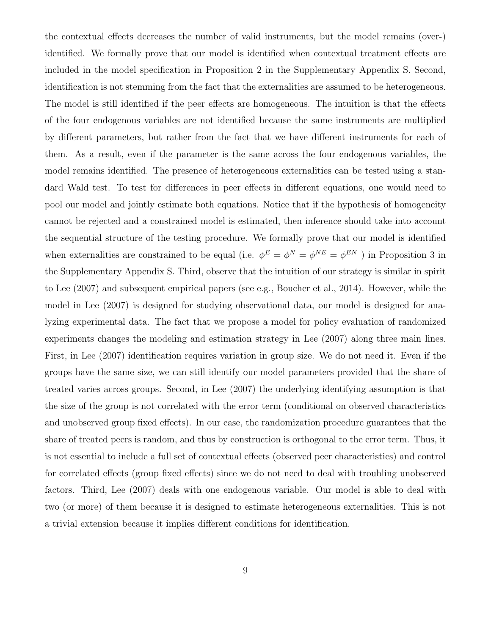the contextual effects decreases the number of valid instruments, but the model remains (over-) identified. We formally prove that our model is identified when contextual treatment effects are included in the model specification in Proposition 2 in the Supplementary Appendix S. Second, identification is not stemming from the fact that the externalities are assumed to be heterogeneous. The model is still identified if the peer effects are homogeneous. The intuition is that the effects of the four endogenous variables are not identified because the same instruments are multiplied by different parameters, but rather from the fact that we have different instruments for each of them. As a result, even if the parameter is the same across the four endogenous variables, the model remains identified. The presence of heterogeneous externalities can be tested using a standard Wald test. To test for differences in peer effects in different equations, one would need to pool our model and jointly estimate both equations. Notice that if the hypothesis of homogeneity cannot be rejected and a constrained model is estimated, then inference should take into account the sequential structure of the testing procedure. We formally prove that our model is identified when externalities are constrained to be equal (i.e.  $\phi^E = \phi^N = \phi^{NE} = \phi^{EN}$ ) in Proposition 3 in the Supplementary Appendix S. Third, observe that the intuition of our strategy is similar in spirit to Lee (2007) and subsequent empirical papers (see e.g., Boucher et al., 2014). However, while the model in Lee (2007) is designed for studying observational data, our model is designed for analyzing experimental data. The fact that we propose a model for policy evaluation of randomized experiments changes the modeling and estimation strategy in Lee (2007) along three main lines. First, in Lee (2007) identification requires variation in group size. We do not need it. Even if the groups have the same size, we can still identify our model parameters provided that the share of treated varies across groups. Second, in Lee (2007) the underlying identifying assumption is that the size of the group is not correlated with the error term (conditional on observed characteristics and unobserved group fixed effects). In our case, the randomization procedure guarantees that the share of treated peers is random, and thus by construction is orthogonal to the error term. Thus, it is not essential to include a full set of contextual effects (observed peer characteristics) and control for correlated effects (group fixed effects) since we do not need to deal with troubling unobserved factors. Third, Lee (2007) deals with one endogenous variable. Our model is able to deal with two (or more) of them because it is designed to estimate heterogeneous externalities. This is not a trivial extension because it implies different conditions for identification.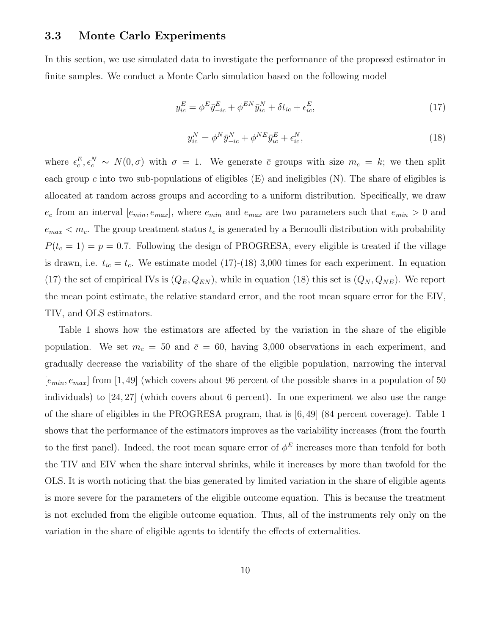#### 3.3 Monte Carlo Experiments

In this section, we use simulated data to investigate the performance of the proposed estimator in finite samples. We conduct a Monte Carlo simulation based on the following model

$$
y_{ic}^E = \phi^E \bar{y}_{-ic}^E + \phi^{EN} \bar{y}_{ic}^N + \delta t_{ic} + \epsilon_{ic}^E,\tag{17}
$$

$$
y_{ic}^N = \phi^N \bar{y}_{-ic}^N + \phi^{NE} \bar{y}_{ic}^E + \epsilon_{ic}^N,
$$
\n
$$
(18)
$$

where  $\epsilon_c^E, \epsilon_c^N \sim N(0, \sigma)$  with  $\sigma = 1$ . We generate  $\bar{c}$  groups with size  $m_c = k$ ; we then split each group c into two sub-populations of eligibles  $(E)$  and ineligibles  $(N)$ . The share of eligibles is allocated at random across groups and according to a uniform distribution. Specifically, we draw  $e_c$  from an interval  $[e_{min}, e_{max}]$ , where  $e_{min}$  and  $e_{max}$  are two parameters such that  $e_{min} > 0$  and  $e_{max} < m_c$ . The group treatment status  $t_c$  is generated by a Bernoulli distribution with probability  $P(t_c = 1) = p = 0.7$ . Following the design of PROGRESA, every eligible is treated if the village is drawn, i.e.  $t_{ic} = t_c$ . We estimate model (17)-(18) 3,000 times for each experiment. In equation (17) the set of empirical IVs is  $(Q_E, Q_{EN})$ , while in equation (18) this set is  $(Q_N, Q_{NE})$ . We report the mean point estimate, the relative standard error, and the root mean square error for the EIV, TIV, and OLS estimators.

Table 1 shows how the estimators are affected by the variation in the share of the eligible population. We set  $m_c = 50$  and  $\bar{c} = 60$ , having 3,000 observations in each experiment, and gradually decrease the variability of the share of the eligible population, narrowing the interval  $[e_{min}, e_{max}]$  from [1,49] (which covers about 96 percent of the possible shares in a population of 50 individuals) to [24, 27] (which covers about 6 percent). In one experiment we also use the range of the share of eligibles in the PROGRESA program, that is [6, 49] (84 percent coverage). Table 1 shows that the performance of the estimators improves as the variability increases (from the fourth to the first panel). Indeed, the root mean square error of  $\phi^E$  increases more than tenfold for both the TIV and EIV when the share interval shrinks, while it increases by more than twofold for the OLS. It is worth noticing that the bias generated by limited variation in the share of eligible agents is more severe for the parameters of the eligible outcome equation. This is because the treatment is not excluded from the eligible outcome equation. Thus, all of the instruments rely only on the variation in the share of eligible agents to identify the effects of externalities.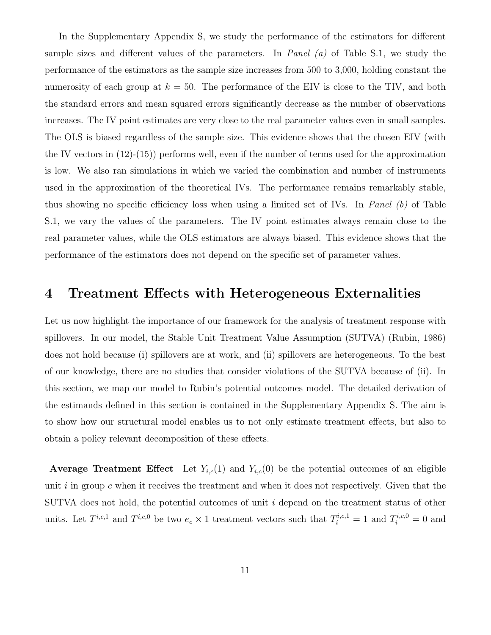In the Supplementary Appendix S, we study the performance of the estimators for different sample sizes and different values of the parameters. In *Panel (a)* of Table S.1, we study the performance of the estimators as the sample size increases from 500 to 3,000, holding constant the numerosity of each group at  $k = 50$ . The performance of the EIV is close to the TIV, and both the standard errors and mean squared errors significantly decrease as the number of observations increases. The IV point estimates are very close to the real parameter values even in small samples. The OLS is biased regardless of the sample size. This evidence shows that the chosen EIV (with the IV vectors in (12)-(15)) performs well, even if the number of terms used for the approximation is low. We also ran simulations in which we varied the combination and number of instruments used in the approximation of the theoretical IVs. The performance remains remarkably stable, thus showing no specific efficiency loss when using a limited set of IVs. In Panel (b) of Table S.1, we vary the values of the parameters. The IV point estimates always remain close to the real parameter values, while the OLS estimators are always biased. This evidence shows that the performance of the estimators does not depend on the specific set of parameter values.

# 4 Treatment Effects with Heterogeneous Externalities

Let us now highlight the importance of our framework for the analysis of treatment response with spillovers. In our model, the Stable Unit Treatment Value Assumption (SUTVA) (Rubin, 1986) does not hold because (i) spillovers are at work, and (ii) spillovers are heterogeneous. To the best of our knowledge, there are no studies that consider violations of the SUTVA because of (ii). In this section, we map our model to Rubin's potential outcomes model. The detailed derivation of the estimands defined in this section is contained in the Supplementary Appendix S. The aim is to show how our structural model enables us to not only estimate treatment effects, but also to obtain a policy relevant decomposition of these effects.

**Average Treatment Effect** Let  $Y_{i,c}(1)$  and  $Y_{i,c}(0)$  be the potential outcomes of an eligible unit i in group c when it receives the treatment and when it does not respectively. Given that the SUTVA does not hold, the potential outcomes of unit i depend on the treatment status of other units. Let  $T^{i,c,1}$  and  $T^{i,c,0}$  be two  $e_c \times 1$  treatment vectors such that  $T_i^{i,c,1} = 1$  and  $T_i^{i,c,0} = 0$  and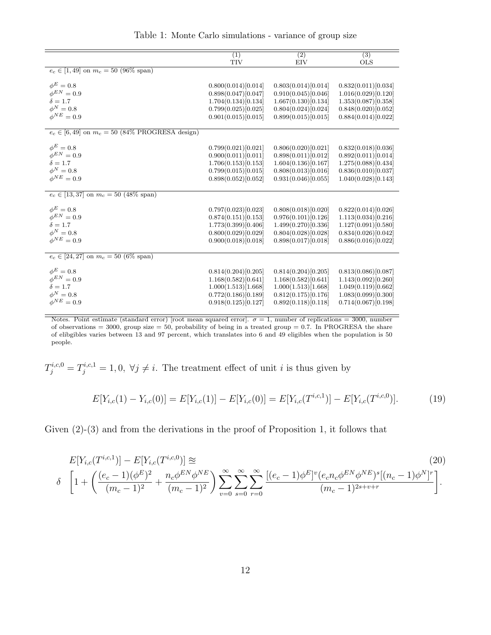|                                                                                                                                                 | $\overline{(1)}$<br><b>TIV</b>                                                                                  | $\overline{(2)}$<br><b>EIV</b>                                                                                  | $\overline{(3)}$<br><b>OLS</b>                                                                                  |
|-------------------------------------------------------------------------------------------------------------------------------------------------|-----------------------------------------------------------------------------------------------------------------|-----------------------------------------------------------------------------------------------------------------|-----------------------------------------------------------------------------------------------------------------|
| $e_c \in [1, 49]$ on $m_c = 50$ (96% span)                                                                                                      |                                                                                                                 |                                                                                                                 |                                                                                                                 |
| $\phi^E=0.8$<br>$\phi^{EN}=0.9$<br>$\delta = 1.7$<br>$\phi^N=0.8$<br>$\phi^{NE} = 0.9$                                                          | 0.800(0.014)[0.014]<br>0.898(0.047)[0.047]<br>1.704(0.134)[0.134]<br>0.799(0.025)[0.025]<br>0.901(0.015)[0.015] | 0.803(0.014)[0.014]<br>0.910(0.045)[0.046]<br>1.667(0.130)[0.134]<br>0.804(0.024)[0.024]<br>0.899(0.015)[0.015] | 0.832(0.011)[0.034]<br>1.016(0.029)[0.120]<br>1.353(0.087)[0.358]<br>0.848(0.020)[0.052]<br>0.884(0.014)[0.022] |
| $e_c \in [6, 49]$ on $m_c = 50$ (84% PROGRESA design)<br>$\phi^E=0.8$<br>$\phi^{EN}=0.9$<br>$\delta = 1.7$<br>$\phi^N=0.8$<br>$\phi^{NE} = 0.9$ | 0.799(0.021)[0.021]<br>0.900(0.011)[0.011]<br>1.706(0.153)[0.153]<br>0.799(0.015)[0.015]<br>0.898(0.052)[0.052] | 0.806(0.020)[0.021]<br>0.898(0.011)[0.012]<br>1.604(0.136)[0.167]<br>0.808(0.013)[0.016]<br>0.931(0.046)[0.055] | 0.832(0.018)[0.036]<br>0.892(0.011)[0.014]<br>1.275(0.088)[0.434]<br>0.836(0.010)[0.037]<br>1.040(0.028)[0.143] |
| $e_c \in [13, 37]$ on $m_c = 50$ (48% span)<br>$\phi^E=0.8$<br>$\phi^{EN}=0.9$<br>$\delta = 1.7$<br>$\phi^N=0.8$<br>$\phi^{NE}=0.9$             | 0.797(0.023)[0.023]<br>0.874(0.151)[0.153]<br>1.773(0.399)[0.406]<br>0.800(0.029)[0.029]<br>0.900(0.018)[0.018] | 0.808(0.018)[0.020]<br>0.976(0.101)[0.126]<br>1.499(0.270)[0.336]<br>0.804(0.028)[0.028]<br>0.898(0.017)[0.018] | 0.822(0.014)[0.026]<br>1.113(0.034)[0.216]<br>1.127(0.091)[0.580]<br>0.834(0.026)[0.042]<br>0.886(0.016)[0.022] |
| $e_c \in [24, 27]$ on $m_c = 50$ (6% span)<br>$\phi^E=0.8$<br>$\phi^{EN}=0.9$<br>$\delta = 1.7$<br>$\phi^N=0.8$<br>$\phi^{NE} = 0.9$            | 0.814(0.204)[0.205]<br>1.168(0.582)[0.641]<br>1.000(1.513)[1.668]<br>0.772(0.186)[0.189]<br>0.918(0.125)[0.127] | 0.814(0.204)[0.205]<br>1.168(0.582)[0.641]<br>1.000(1.513)[1.668]<br>0.812(0.175)[0.176]<br>0.892(0.118)[0.118] | 0.813(0.086)[0.087]<br>1.143(0.092)[0.260]<br>1.049(0.119)[0.662]<br>1.083(0.099)[0.300]<br>0.714(0.067)[0.198] |

Table 1: Monte Carlo simulations - variance of group size

 $T_j^{i,c,0} = T_j^{i,c,1} = 1, 0, \forall j \neq i.$  The treatment effect of unit i is thus given by

$$
E[Y_{i,c}(1) - Y_{i,c}(0)] = E[Y_{i,c}(1)] - E[Y_{i,c}(0)] = E[Y_{i,c}(T^{i,c,1})] - E[Y_{i,c}(T^{i,c,0})].
$$
\n(19)

Given (2)-(3) and from the derivations in the proof of Proposition 1, it follows that

$$
E[Y_{i,c}(T^{i,c,1})] - E[Y_{i,c}(T^{i,c,0})] \approx
$$
\n
$$
\delta \left[1 + \left(\frac{(e_c - 1)(\phi^E)^2}{(m_c - 1)^2} + \frac{n_c \phi^{EN} \phi^{NE}}{(m_c - 1)^2}\right) \sum_{v=0}^{\infty} \sum_{s=0}^{\infty} \sum_{r=0}^{\infty} \frac{[(e_c - 1)\phi^E]^v (e_c n_c \phi^{EN} \phi^{NE})^s [(n_c - 1)\phi^N]^r}{(m_c - 1)^{2s + v + r}}\right].
$$
\n(20)

Notes. Point estimate (standard error) [root mean squared error].  $\sigma = 1$ , number of replications = 3000, number of observations = 3000, group size = 50, probability of being in a treated group = 0.7. In PROGRESA the share of elibgibles varies between 13 and 97 percent, which translates into 6 and 49 eligibles when the population is 50 people.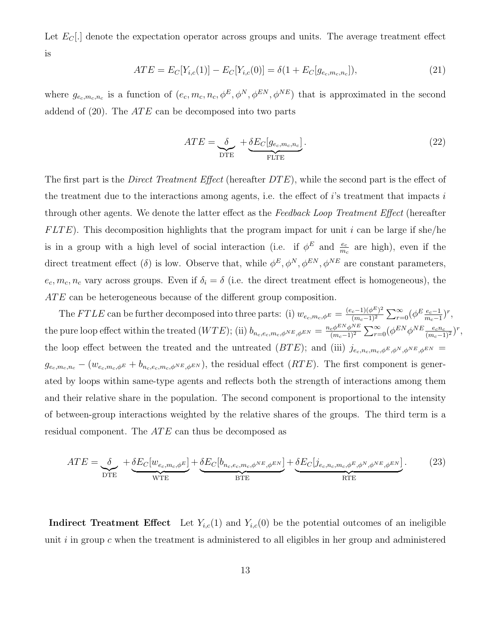Let  $E_C$ . denote the expectation operator across groups and units. The average treatment effect is

$$
ATE = E_C[Y_{i,c}(1)] - E_C[Y_{i,c}(0)] = \delta(1 + E_C[g_{e_c, m_c, n_c}]),\tag{21}
$$

where  $g_{e_c,m_c,n_c}$  is a function of  $(e_c, m_c, n_c, \phi^E, \phi^N, \phi^{EN}, \phi^{NE})$  that is approximated in the second addend of  $(20)$ . The *ATE* can be decomposed into two parts

$$
ATE = \underbrace{\delta}_{\text{DTE}} + \underbrace{\delta E_C[g_{e_c, m_c, n_c}]}_{\text{FLTE}}.
$$
\n(22)

The first part is the *Direct Treatment Effect* (hereafter  $DTE$ ), while the second part is the effect of the treatment due to the interactions among agents, i.e. the effect of  $i$ 's treatment that impacts  $i$ through other agents. We denote the latter effect as the Feedback Loop Treatment Effect (hereafter  $FLTE$ ). This decomposition highlights that the program impact for unit i can be large if she/he is in a group with a high level of social interaction (i.e. if  $\phi^E$  and  $\frac{e_c}{m_c}$  are high), even if the direct treatment effect (δ) is low. Observe that, while  $\phi^E, \phi^N, \phi^{EN}, \phi^{NE}$  are constant parameters,  $e_c, m_c, n_c$  vary across groups. Even if  $\delta_i = \delta$  (i.e. the direct treatment effect is homogeneous), the ATE can be heterogeneous because of the different group composition.

The FTLE can be further decomposed into three parts: (i)  $w_{e_c,m_c,\phi^E} = \frac{(e_c-1)(\phi^E)^2}{(m_c-1)^2}$  $\frac{(c-1)(\phi^{E})^2}{(m_c-1)^2}\sum_{r=0}^{\infty}(\phi^{E}\frac{e_{c}-1}{m_c-1}% )^{2r}e^{-r} \left( \frac{e^{2r}}{m_c-1}\right) ^{r}e^{-r} \label{eq:2.14}$  $\frac{e_c-1}{m_c-1}$ )<sup>r</sup>, the pure loop effect within the treated  $(WTE)$ ; (ii)  $b_{n_c,e_c,m_c,\phi^{NE},\phi^{EN}} = \frac{n_c\phi^{EN}\phi^{NE}}{(m_c-1)^2}$  $\frac{c\phi^{EN}\phi^{NE}}{(m_c-1)^2}\sum_{r=0}^{\infty}(\phi^{EN}\phi^{NE}\frac{e_c n_c}{(m_c-1)^2})^r,$ the loop effect between the treated and the untreated (BTE); and (iii)  $j_{e_c,n_c,m_c,\phi^E,\phi^N,\phi^{NE},\phi^{EN}}$  $g_{e_c,m_c,n_c} - (w_{e_c,m_c,\phi^E} + b_{n_c,e_c,m_c,\phi^{NE},\phi^{EN}})$ , the residual effect  $(RTE)$ . The first component is generated by loops within same-type agents and reflects both the strength of interactions among them and their relative share in the population. The second component is proportional to the intensity of between-group interactions weighted by the relative shares of the groups. The third term is a residual component. The  $ATE$  can thus be decomposed as

$$
ATE = \underbrace{\delta}_{\text{DTE}} + \underbrace{\delta E_C[w_{e_c, m_c, \phi^E}]}_{\text{WTE}} + \underbrace{\delta E_C[b_{n_c, e_c, m_c, \phi^{NE}, \phi^{EN}}]}_{\text{BTE}} + \underbrace{\delta E_C[j_{e_c, n_c, m_c, \phi^E, \phi^N, \phi^{NE}, \phi^{EN}}]}_{\text{RTE}}.
$$
 (23)

**Indirect Treatment Effect** Let  $Y_{i,c}(1)$  and  $Y_{i,c}(0)$  be the potential outcomes of an ineligible unit  $i$  in group c when the treatment is administered to all eligibles in her group and administered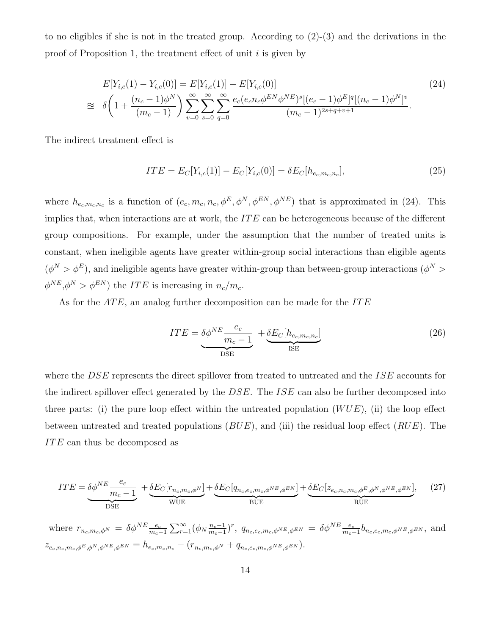to no eligibles if she is not in the treated group. According to (2)-(3) and the derivations in the proof of Proposition 1, the treatment effect of unit  $i$  is given by

$$
E[Y_{i,c}(1) - Y_{i,c}(0)] = E[Y_{i,c}(1)] - E[Y_{i,c}(0)]
$$
\n
$$
\approx \delta \left( 1 + \frac{(n_c - 1)\phi^N}{(m_c - 1)} \right) \sum_{v=0}^{\infty} \sum_{s=0}^{\infty} \sum_{q=0}^{\infty} \frac{e_c(e_c n_c \phi^{EN} \phi^{NE})^s [(e_c - 1)\phi^E]^q [(n_c - 1)\phi^N]^v}{(m_c - 1)^{2s + q + v + 1}}.
$$
\n(24)

The indirect treatment effect is

$$
ITE = E_C[Y_{i,c}(1)] - E_C[Y_{i,c}(0)] = \delta E_C[h_{e_c, m_c, n_c}],
$$
\n(25)

where  $h_{e_c,m_c,n_c}$  is a function of  $(e_c,m_c,n_c,\phi^E,\phi^N,\phi^{EN},\phi^{NE})$  that is approximated in (24). This implies that, when interactions are at work, the  $ITE$  can be heterogeneous because of the different group compositions. For example, under the assumption that the number of treated units is constant, when ineligible agents have greater within-group social interactions than eligible agents  $(\phi^N > \phi^E)$ , and ineligible agents have greater within-group than between-group interactions  $(\phi^N >$  $\phi^{NE}, \phi^N > \phi^{EN}$  the *ITE* is increasing in  $n_c/m_c$ .

As for the  $ATE$ , an analog further decomposition can be made for the  $ITE$ 

$$
ITE = \underbrace{\delta \phi^{NE} \frac{e_c}{m_c - 1}}_{\text{DSE}} + \underbrace{\delta E_C [h_{e_c, m_c, n_c}]}_{\text{ISE}}
$$
 (26)

where the DSE represents the direct spillover from treated to untreated and the ISE accounts for the indirect spillover effect generated by the DSE. The ISE can also be further decomposed into three parts: (i) the pure loop effect within the untreated population  $(WUE)$ , (ii) the loop effect between untreated and treated populations  $(BUE)$ , and (iii) the residual loop effect  $(RUE)$ . The ITE can thus be decomposed as

$$
ITE = \underbrace{\delta \phi^{NE} \frac{e_c}{m_c - 1}}_{\text{DSE}} + \underbrace{\delta E_C[r_{n_c, m_c, \phi^N}]}_{\text{WUE}} + \underbrace{\delta E_C[q_{n_c, e_c, m_c, \phi^{NE}, \phi^{EN}}]}_{\text{BUE}} + \underbrace{\delta E_C[z_{e_c, n_c, m_c, \phi^E, \phi^N, \phi^{NE}, \phi^{EN}}]}_{\text{RUE}}, \quad (27)
$$

where  $r_{n_c,m_c,\phi^N} = \delta \phi^{NE} \frac{e_c}{m_c-1} \sum_{r=1}^{\infty} (\phi_N \frac{n_c-1}{m_c-1})$  $\frac{n_c-1}{m_c-1}$ )<sup>r</sup>,  $q_{n_c,e_c,m_c,\phi^{NE},\phi^{EN}} = \delta \phi^{NE} \frac{e_c}{m_c-1} b_{n_c,e_c,m_c,\phi^{NE},\phi^{EN}}$ , and  $z_{e_c,n_c,m_c,\phi^E,\phi^N,\phi^{NE},\phi^{EN}} = h_{e_c,m_c,n_c} - (r_{n_c,m_c,\phi^N} + q_{n_c,e_c,m_c,\phi^{NE},\phi^{EN}}).$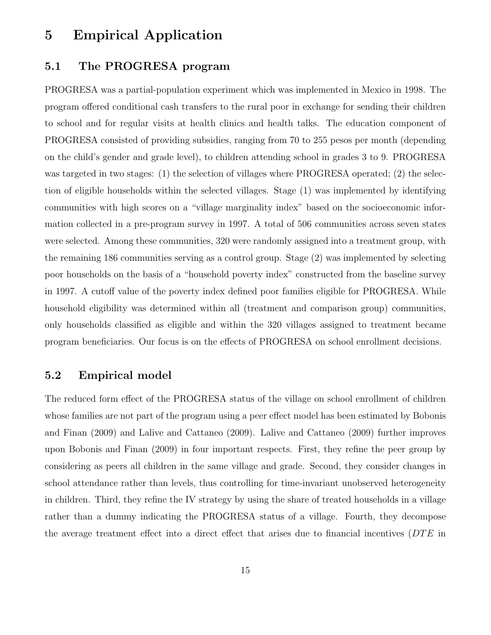# 5 Empirical Application

#### 5.1 The PROGRESA program

PROGRESA was a partial-population experiment which was implemented in Mexico in 1998. The program offered conditional cash transfers to the rural poor in exchange for sending their children to school and for regular visits at health clinics and health talks. The education component of PROGRESA consisted of providing subsidies, ranging from 70 to 255 pesos per month (depending on the child's gender and grade level), to children attending school in grades 3 to 9. PROGRESA was targeted in two stages: (1) the selection of villages where PROGRESA operated; (2) the selection of eligible households within the selected villages. Stage (1) was implemented by identifying communities with high scores on a "village marginality index" based on the socioeconomic information collected in a pre-program survey in 1997. A total of 506 communities across seven states were selected. Among these communities, 320 were randomly assigned into a treatment group, with the remaining 186 communities serving as a control group. Stage (2) was implemented by selecting poor households on the basis of a "household poverty index" constructed from the baseline survey in 1997. A cutoff value of the poverty index defined poor families eligible for PROGRESA. While household eligibility was determined within all (treatment and comparison group) communities, only households classified as eligible and within the 320 villages assigned to treatment became program beneficiaries. Our focus is on the effects of PROGRESA on school enrollment decisions.

#### 5.2 Empirical model

The reduced form effect of the PROGRESA status of the village on school enrollment of children whose families are not part of the program using a peer effect model has been estimated by Bobonis and Finan (2009) and Lalive and Cattaneo (2009). Lalive and Cattaneo (2009) further improves upon Bobonis and Finan (2009) in four important respects. First, they refine the peer group by considering as peers all children in the same village and grade. Second, they consider changes in school attendance rather than levels, thus controlling for time-invariant unobserved heterogeneity in children. Third, they refine the IV strategy by using the share of treated households in a village rather than a dummy indicating the PROGRESA status of a village. Fourth, they decompose the average treatment effect into a direct effect that arises due to financial incentives  $(DTE)$  in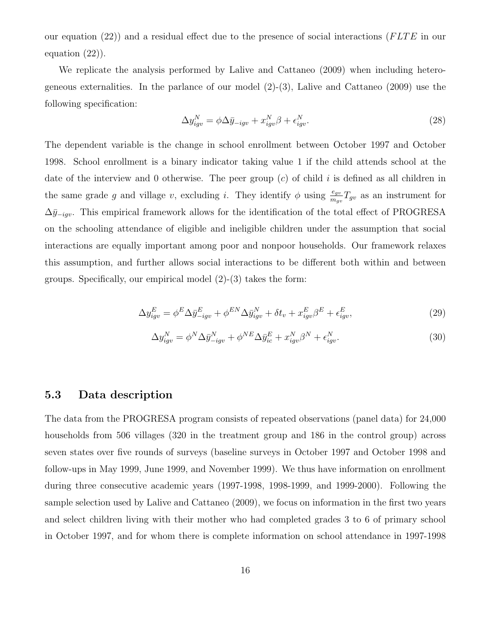our equation  $(22)$ ) and a residual effect due to the presence of social interactions ( $FLTE$  in our equation  $(22)$ ).

We replicate the analysis performed by Lalive and Cattaneo (2009) when including heterogeneous externalities. In the parlance of our model  $(2)-(3)$ , Lalive and Cattaneo  $(2009)$  use the following specification:

$$
\Delta y_{igv}^N = \phi \Delta \bar{y}_{-igv} + x_{igv}^N \beta + \epsilon_{igv}^N. \tag{28}
$$

The dependent variable is the change in school enrollment between October 1997 and October 1998. School enrollment is a binary indicator taking value 1 if the child attends school at the date of the interview and 0 otherwise. The peer group  $(c)$  of child i is defined as all children in the same grade g and village v, excluding i. They identify  $\phi$  using  $\frac{e_{gv}}{m_{gv}}T_{gv}$  as an instrument for  $\Delta \bar{y}_{-igv}$ . This empirical framework allows for the identification of the total effect of PROGRESA on the schooling attendance of eligible and ineligible children under the assumption that social interactions are equally important among poor and nonpoor households. Our framework relaxes this assumption, and further allows social interactions to be different both within and between groups. Specifically, our empirical model  $(2)-(3)$  takes the form:

$$
\Delta y_{igv}^E = \phi^E \Delta \bar{y}_{-igv}^E + \phi^{EN} \Delta \bar{y}_{igv}^N + \delta t_v + x_{igv}^E \beta^E + \epsilon_{igv}^E,
$$
\n(29)

$$
\Delta y_{igv}^N = \phi^N \Delta \bar{y}_{-igv}^N + \phi^{NE} \Delta \bar{y}_{ic}^E + x_{igv}^N \beta^N + \epsilon_{igv}^N. \tag{30}
$$

#### 5.3 Data description

The data from the PROGRESA program consists of repeated observations (panel data) for 24,000 households from 506 villages (320 in the treatment group and 186 in the control group) across seven states over five rounds of surveys (baseline surveys in October 1997 and October 1998 and follow-ups in May 1999, June 1999, and November 1999). We thus have information on enrollment during three consecutive academic years (1997-1998, 1998-1999, and 1999-2000). Following the sample selection used by Lalive and Cattaneo (2009), we focus on information in the first two years and select children living with their mother who had completed grades 3 to 6 of primary school in October 1997, and for whom there is complete information on school attendance in 1997-1998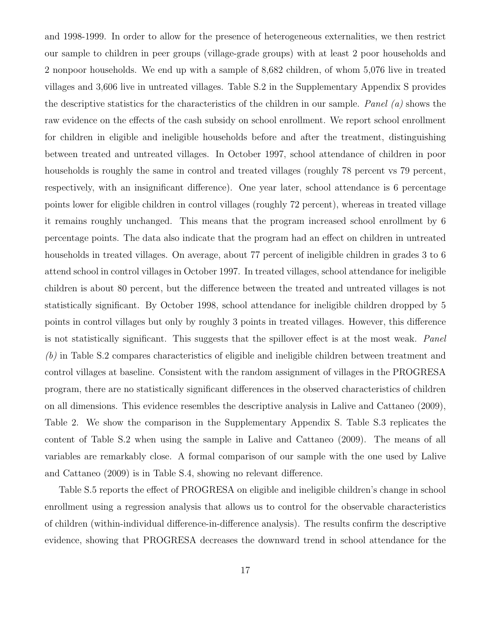and 1998-1999. In order to allow for the presence of heterogeneous externalities, we then restrict our sample to children in peer groups (village-grade groups) with at least 2 poor households and 2 nonpoor households. We end up with a sample of 8,682 children, of whom 5,076 live in treated villages and 3,606 live in untreated villages. Table S.2 in the Supplementary Appendix S provides the descriptive statistics for the characteristics of the children in our sample. Panel  $(a)$  shows the raw evidence on the effects of the cash subsidy on school enrollment. We report school enrollment for children in eligible and ineligible households before and after the treatment, distinguishing between treated and untreated villages. In October 1997, school attendance of children in poor households is roughly the same in control and treated villages (roughly 78 percent vs 79 percent, respectively, with an insignificant difference). One year later, school attendance is 6 percentage points lower for eligible children in control villages (roughly 72 percent), whereas in treated village it remains roughly unchanged. This means that the program increased school enrollment by 6 percentage points. The data also indicate that the program had an effect on children in untreated households in treated villages. On average, about 77 percent of ineligible children in grades 3 to 6 attend school in control villages in October 1997. In treated villages, school attendance for ineligible children is about 80 percent, but the difference between the treated and untreated villages is not statistically significant. By October 1998, school attendance for ineligible children dropped by 5 points in control villages but only by roughly 3 points in treated villages. However, this difference is not statistically significant. This suggests that the spillover effect is at the most weak. Panel (b) in Table S.2 compares characteristics of eligible and ineligible children between treatment and control villages at baseline. Consistent with the random assignment of villages in the PROGRESA program, there are no statistically significant differences in the observed characteristics of children on all dimensions. This evidence resembles the descriptive analysis in Lalive and Cattaneo (2009), Table 2. We show the comparison in the Supplementary Appendix S. Table S.3 replicates the content of Table S.2 when using the sample in Lalive and Cattaneo (2009). The means of all variables are remarkably close. A formal comparison of our sample with the one used by Lalive and Cattaneo (2009) is in Table S.4, showing no relevant difference.

Table S.5 reports the effect of PROGRESA on eligible and ineligible children's change in school enrollment using a regression analysis that allows us to control for the observable characteristics of children (within-individual difference-in-difference analysis). The results confirm the descriptive evidence, showing that PROGRESA decreases the downward trend in school attendance for the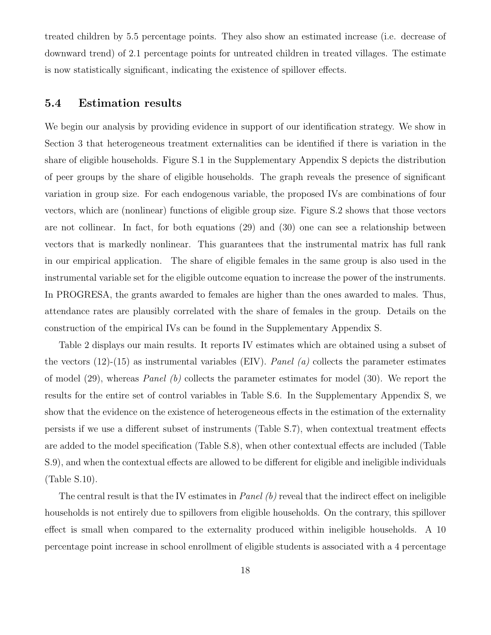treated children by 5.5 percentage points. They also show an estimated increase (i.e. decrease of downward trend) of 2.1 percentage points for untreated children in treated villages. The estimate is now statistically significant, indicating the existence of spillover effects.

#### 5.4 Estimation results

We begin our analysis by providing evidence in support of our identification strategy. We show in Section 3 that heterogeneous treatment externalities can be identified if there is variation in the share of eligible households. Figure S.1 in the Supplementary Appendix S depicts the distribution of peer groups by the share of eligible households. The graph reveals the presence of significant variation in group size. For each endogenous variable, the proposed IVs are combinations of four vectors, which are (nonlinear) functions of eligible group size. Figure S.2 shows that those vectors are not collinear. In fact, for both equations (29) and (30) one can see a relationship between vectors that is markedly nonlinear. This guarantees that the instrumental matrix has full rank in our empirical application. The share of eligible females in the same group is also used in the instrumental variable set for the eligible outcome equation to increase the power of the instruments. In PROGRESA, the grants awarded to females are higher than the ones awarded to males. Thus, attendance rates are plausibly correlated with the share of females in the group. Details on the construction of the empirical IVs can be found in the Supplementary Appendix S.

Table 2 displays our main results. It reports IV estimates which are obtained using a subset of the vectors  $(12)-(15)$  as instrumental variables (EIV). *Panel (a)* collects the parameter estimates of model  $(29)$ , whereas *Panel (b)* collects the parameter estimates for model  $(30)$ . We report the results for the entire set of control variables in Table S.6. In the Supplementary Appendix S, we show that the evidence on the existence of heterogeneous effects in the estimation of the externality persists if we use a different subset of instruments (Table S.7), when contextual treatment effects are added to the model specification (Table S.8), when other contextual effects are included (Table S.9), and when the contextual effects are allowed to be different for eligible and ineligible individuals (Table S.10).

The central result is that the IV estimates in *Panel (b)* reveal that the indirect effect on ineligible households is not entirely due to spillovers from eligible households. On the contrary, this spillover effect is small when compared to the externality produced within ineligible households. A 10 percentage point increase in school enrollment of eligible students is associated with a 4 percentage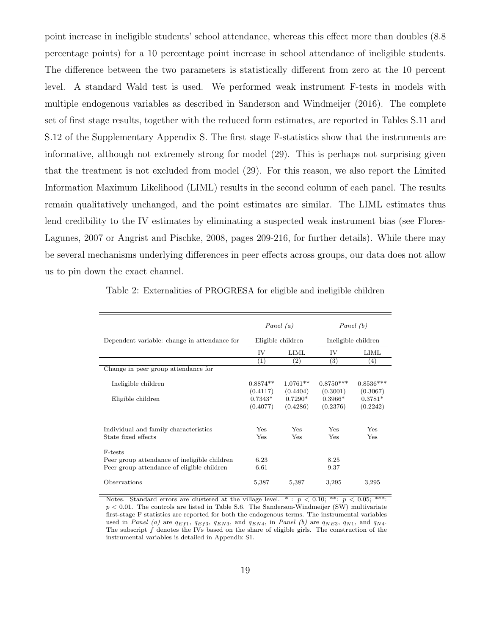point increase in ineligible students' school attendance, whereas this effect more than doubles (8.8 percentage points) for a 10 percentage point increase in school attendance of ineligible students. The difference between the two parameters is statistically different from zero at the 10 percent level. A standard Wald test is used. We performed weak instrument F-tests in models with multiple endogenous variables as described in Sanderson and Windmeijer (2016). The complete set of first stage results, together with the reduced form estimates, are reported in Tables S.11 and S.12 of the Supplementary Appendix S. The first stage F-statistics show that the instruments are informative, although not extremely strong for model (29). This is perhaps not surprising given that the treatment is not excluded from model (29). For this reason, we also report the Limited Information Maximum Likelihood (LIML) results in the second column of each panel. The results remain qualitatively unchanged, and the point estimates are similar. The LIML estimates thus lend credibility to the IV estimates by eliminating a suspected weak instrument bias (see Flores-Lagunes, 2007 or Angrist and Pischke, 2008, pages 209-216, for further details). While there may be several mechanisms underlying differences in peer effects across groups, our data does not allow us to pin down the exact channel.

|                                                                                                       |                        | Panel $(a)$            |                         | Panel $(b)$             |
|-------------------------------------------------------------------------------------------------------|------------------------|------------------------|-------------------------|-------------------------|
| Dependent variable: change in attendance for                                                          |                        | Eligible children      |                         | Ineligible children     |
|                                                                                                       | IV                     | LIML                   | IV                      | LIML                    |
|                                                                                                       | (1)                    | $\left( 2\right)$      | $\left( 3\right)$       | (4)                     |
| Change in peer group attendance for                                                                   |                        |                        |                         |                         |
| Ineligible children                                                                                   | $0.8874**$<br>(0.4117) | $1.0761**$<br>(0.4404) | $0.8750***$<br>(0.3001) | $0.8536***$<br>(0.3067) |
| Eligible children                                                                                     | $0.7343*$<br>(0.4077)  | $0.7290*$<br>(0.4286)  | $0.3966*$<br>(0.2376)   | $0.3781*$<br>(0.2242)   |
| Individual and family characteristics<br>State fixed effects                                          | Yes<br>Yes             | <b>Yes</b><br>Yes      | Yes<br>Yes              | Yes<br>Yes              |
| F-tests<br>Peer group attendance of ineligible children<br>Peer group attendance of eligible children | 6.23<br>6.61           |                        | 8.25<br>9.37            |                         |
| Observations                                                                                          | 5,387                  | 5,387                  | 3,295                   | 3,295                   |

Table 2: Externalities of PROGRESA for eligible and ineligible children

Notes. Standard errors are clustered at the village level. \* :  $p < 0.10$ ; \*\*:  $p < 0.05$ ;  $p < 0.01$ . The controls are listed in Table S.6. The Sanderson-Windmeijer (SW) multivariate first-stage F statistics are reported for both the endogenous terms. The instrumental variables used in Panel (a) are  $q_{Ef1}$ ,  $q_{Ef3}$ ,  $q_{EN3}$ , and  $q_{EN4}$ , in Panel (b) are  $q_{NE3}$ ,  $q_{N1}$ , and  $q_{N4}$ . The subscript  $f$  denotes the IVs based on the share of eligible girls. The construction of the instrumental variables is detailed in Appendix S1.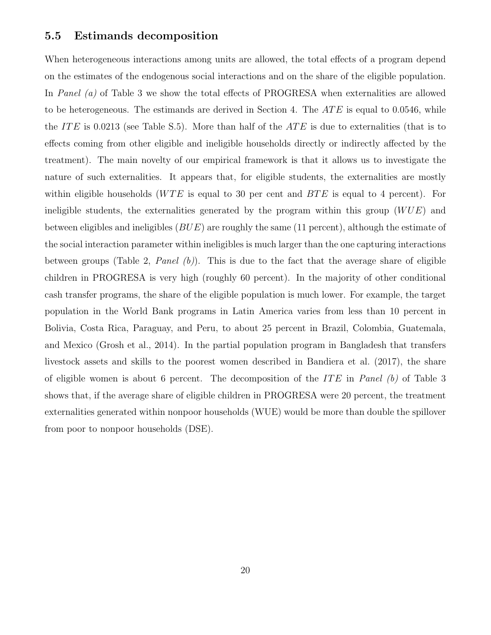#### 5.5 Estimands decomposition

When heterogeneous interactions among units are allowed, the total effects of a program depend on the estimates of the endogenous social interactions and on the share of the eligible population. In Panel (a) of Table 3 we show the total effects of PROGRESA when externalities are allowed to be heterogeneous. The estimands are derived in Section 4. The  $ATE$  is equal to 0.0546, while the ITE is 0.0213 (see Table S.5). More than half of the ATE is due to externalities (that is to effects coming from other eligible and ineligible households directly or indirectly affected by the treatment). The main novelty of our empirical framework is that it allows us to investigate the nature of such externalities. It appears that, for eligible students, the externalities are mostly within eligible households (WTE is equal to 30 per cent and  $BTE$  is equal to 4 percent). For ineligible students, the externalities generated by the program within this group  $(WUE)$  and between eligibles and ineligibles  $(BUE)$  are roughly the same (11 percent), although the estimate of the social interaction parameter within ineligibles is much larger than the one capturing interactions between groups (Table 2, *Panel (b)*). This is due to the fact that the average share of eligible children in PROGRESA is very high (roughly 60 percent). In the majority of other conditional cash transfer programs, the share of the eligible population is much lower. For example, the target population in the World Bank programs in Latin America varies from less than 10 percent in Bolivia, Costa Rica, Paraguay, and Peru, to about 25 percent in Brazil, Colombia, Guatemala, and Mexico (Grosh et al., 2014). In the partial population program in Bangladesh that transfers livestock assets and skills to the poorest women described in Bandiera et al. (2017), the share of eligible women is about 6 percent. The decomposition of the ITE in Panel  $(b)$  of Table 3 shows that, if the average share of eligible children in PROGRESA were 20 percent, the treatment externalities generated within nonpoor households (WUE) would be more than double the spillover from poor to nonpoor households (DSE).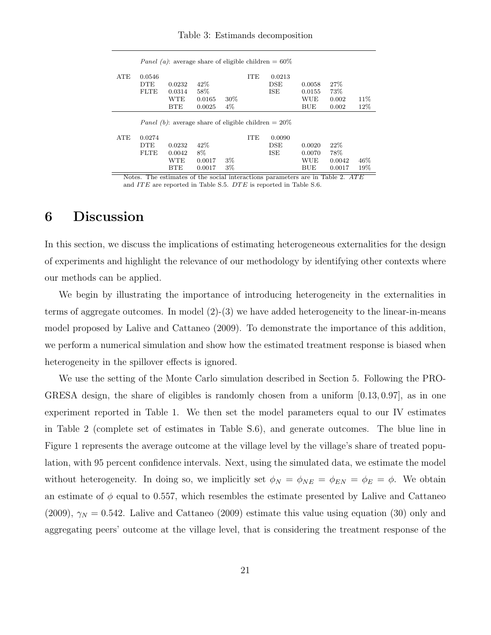|            |             |                                                                |        |        |            | <i>Panel (a)</i> : average share of eligible children $= 60\%$ |        |        |        |
|------------|-------------|----------------------------------------------------------------|--------|--------|------------|----------------------------------------------------------------|--------|--------|--------|
| <b>ATE</b> | 0.0546      |                                                                |        |        | <b>ITE</b> | 0.0213                                                         |        |        |        |
|            | <b>DTE</b>  | 0.0232                                                         | 42\%   |        |            | <b>DSE</b>                                                     | 0.0058 | 27\%   |        |
|            | <b>FLTE</b> | 0.0314                                                         | 58%    |        |            | <b>ISE</b>                                                     | 0.0155 | 73%    |        |
|            |             | <b>WTE</b>                                                     | 0.0165 | $30\%$ |            |                                                                | WUE    | 0.002  | $11\%$ |
|            |             | <b>BTE</b>                                                     | 0.0025 | $4\%$  |            |                                                                | BUE    | 0.002  | 12%    |
|            |             | <i>Panel (b)</i> : average share of eligible children $= 20\%$ |        |        |            |                                                                |        |        |        |
| <b>ATE</b> | 0.0274      |                                                                |        |        | <b>ITE</b> | 0.0090                                                         |        |        |        |
|            | <b>DTE</b>  | 0.0232                                                         | 42\%   |        |            | <b>DSE</b>                                                     | 0.0020 | 22%    |        |
|            | <b>FLTE</b> | 0.0042                                                         | 8%     |        |            | ISE                                                            | 0.0070 | 78%    |        |
|            |             | <b>WTE</b>                                                     | 0.0017 | $3\%$  |            |                                                                | WUE    | 0.0042 | 46\%   |
|            |             | <b>BTE</b>                                                     | 0.0017 | $3\%$  |            |                                                                | BUE    | 0.0017 | 19%    |

Notes. The estimates of the social interactions parameters are in Table 2. ATE and  $ITE$  are reported in Table S.5.  $DTE$  is reported in Table S.6.

### 6 Discussion

In this section, we discuss the implications of estimating heterogeneous externalities for the design of experiments and highlight the relevance of our methodology by identifying other contexts where our methods can be applied.

We begin by illustrating the importance of introducing heterogeneity in the externalities in terms of aggregate outcomes. In model  $(2)-(3)$  we have added heterogeneity to the linear-in-means model proposed by Lalive and Cattaneo (2009). To demonstrate the importance of this addition, we perform a numerical simulation and show how the estimated treatment response is biased when heterogeneity in the spillover effects is ignored.

We use the setting of the Monte Carlo simulation described in Section 5. Following the PRO-GRESA design, the share of eligibles is randomly chosen from a uniform  $[0.13, 0.97]$ , as in one experiment reported in Table 1. We then set the model parameters equal to our IV estimates in Table 2 (complete set of estimates in Table S.6), and generate outcomes. The blue line in Figure 1 represents the average outcome at the village level by the village's share of treated population, with 95 percent confidence intervals. Next, using the simulated data, we estimate the model without heterogeneity. In doing so, we implicitly set  $\phi_N = \phi_{NE} = \phi_{EN} = \phi_E = \phi$ . We obtain an estimate of  $\phi$  equal to 0.557, which resembles the estimate presented by Lalive and Cattaneo  $(2009)$ ,  $\gamma_N = 0.542$ . Lalive and Cattaneo  $(2009)$  estimate this value using equation  $(30)$  only and aggregating peers' outcome at the village level, that is considering the treatment response of the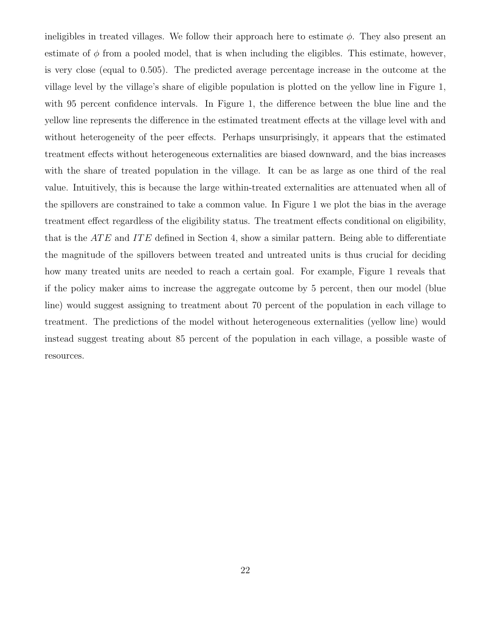ineligibles in treated villages. We follow their approach here to estimate  $\phi$ . They also present an estimate of  $\phi$  from a pooled model, that is when including the eligibles. This estimate, however, is very close (equal to 0.505). The predicted average percentage increase in the outcome at the village level by the village's share of eligible population is plotted on the yellow line in Figure 1, with 95 percent confidence intervals. In Figure 1, the difference between the blue line and the yellow line represents the difference in the estimated treatment effects at the village level with and without heterogeneity of the peer effects. Perhaps unsurprisingly, it appears that the estimated treatment effects without heterogeneous externalities are biased downward, and the bias increases with the share of treated population in the village. It can be as large as one third of the real value. Intuitively, this is because the large within-treated externalities are attenuated when all of the spillovers are constrained to take a common value. In Figure 1 we plot the bias in the average treatment effect regardless of the eligibility status. The treatment effects conditional on eligibility, that is the  $ATE$  and  $ITE$  defined in Section 4, show a similar pattern. Being able to differentiate the magnitude of the spillovers between treated and untreated units is thus crucial for deciding how many treated units are needed to reach a certain goal. For example, Figure 1 reveals that if the policy maker aims to increase the aggregate outcome by 5 percent, then our model (blue line) would suggest assigning to treatment about 70 percent of the population in each village to treatment. The predictions of the model without heterogeneous externalities (yellow line) would instead suggest treating about 85 percent of the population in each village, a possible waste of resources.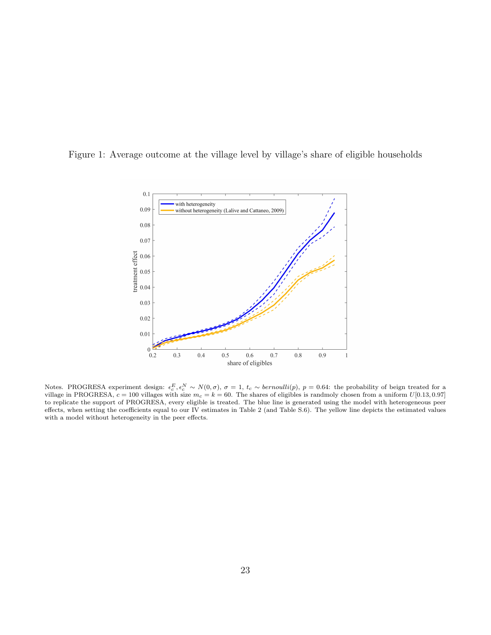



Notes. PROGRESA experiment design:  $\epsilon_c^E, \epsilon_c^N \sim N(0, \sigma), \sigma = 1, t_c \sim Bernoulli(p), p = 0.64$ : the probability of beign treated for a village in PROGRESA,  $c = 100$  villages with size  $m_c = k = 60$ . The shares of eligibles is randmoly chosen from a uniform  $U[0.13, 0.97]$ to replicate the support of PROGRESA, every eligible is treated. The blue line is generated using the model with heterogeneous peer effects, when setting the coefficients equal to our IV estimates in Table 2 (and Table S.6). The yellow line depicts the estimated values with a model without heterogeneity in the peer effects.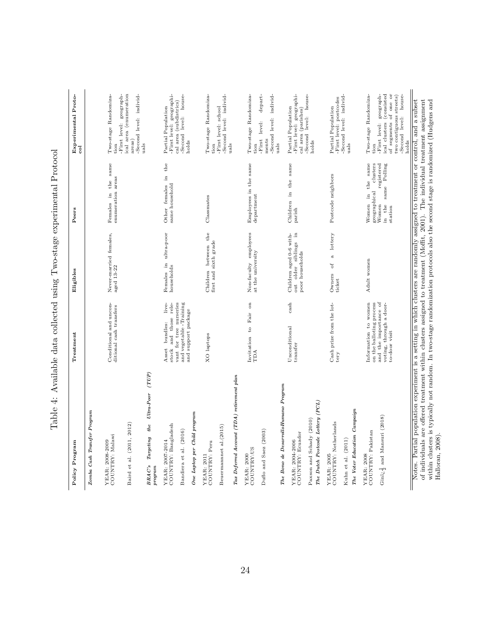| Policy Program                                                                                                                                                                                                                                                    | Treatment                                                         | Eligibles                                                           | Peers                                                            | Experimental Proto-<br>ē                                                               |
|-------------------------------------------------------------------------------------------------------------------------------------------------------------------------------------------------------------------------------------------------------------------|-------------------------------------------------------------------|---------------------------------------------------------------------|------------------------------------------------------------------|----------------------------------------------------------------------------------------|
| Zomba Cash Transfer Program                                                                                                                                                                                                                                       |                                                                   |                                                                     |                                                                  |                                                                                        |
| YEAR: 2008-2009<br>COUNTRY: Malawi                                                                                                                                                                                                                                | Conditional and uncon-<br>ditional cash transfers                 | Never-married females,<br>aged 13-22                                | same<br>enumeration areas<br>$_{\rm the}$<br><u>ទ</u><br>Females | Two-stage Randomiza-<br>tion                                                           |
| Baird et al. (2011, 2012)                                                                                                                                                                                                                                         |                                                                   |                                                                     |                                                                  | -First level: geograph-<br>ical area (enumeration<br>-Second level: individ-<br>areas) |
| $Utra\text{-}Poor$ $(TUP)$<br>Targeting the<br>BRAC's<br>program                                                                                                                                                                                                  |                                                                   |                                                                     |                                                                  | uals                                                                                   |
| COUNTRY: Bangladesh<br>YEAR: 2007-2014                                                                                                                                                                                                                            | live-<br>and those rele-<br>bundles:<br>Asset<br>stock            | Females in ultra-poor<br>households                                 | in the<br>Other females<br>same household                        | -First level: geographi-<br>Partial Population                                         |
| Bandiera et al. (2016)                                                                                                                                                                                                                                            | vant for tree nurseries<br>and vegetable -Training                |                                                                     |                                                                  | house-<br>cal area (subdistrics)<br>-Second level:                                     |
| One Laptop per Child program                                                                                                                                                                                                                                      | and support package                                               |                                                                     |                                                                  | holds                                                                                  |
| COUNTRY: Peru<br><b>YEAR: 2011</b>                                                                                                                                                                                                                                | XO laptops                                                        | Children between the<br>first and sixth grade                       | $\text{Classmates}$                                              | Two-stage Randomiza-<br>tion                                                           |
| Beuermannnet al.(2015)                                                                                                                                                                                                                                            |                                                                   |                                                                     |                                                                  | -Second level: individ-<br>-First level: school                                        |
| Tax Deferred Account (TDA) retirement plan                                                                                                                                                                                                                        |                                                                   |                                                                     |                                                                  | uals                                                                                   |
| COUNTRY:US<br><b>YEAR: 2000</b>                                                                                                                                                                                                                                   | to Fair on<br>Invitation<br>TDA                                   | Non-faculty employees<br>at the university                          | Employees in the same<br>department                              | Two-stage Randomiza-<br>tion                                                           |
| Duflo and Saez (2003)                                                                                                                                                                                                                                             |                                                                   |                                                                     |                                                                  | depart-<br>-Second level: individ-<br>level:<br>$\mbox{{\sc First}}$<br>ments          |
| The Bono de DesarrolloHumano Program                                                                                                                                                                                                                              |                                                                   |                                                                     |                                                                  | uals                                                                                   |
| COUNTRY: Ecuador<br>YEAR: 2004-2006                                                                                                                                                                                                                               | cash<br>Unconditional<br>transfer                                 | Children aged 0-6 with-<br>out older siblings in<br>poor households | Children in the same<br>parish                                   | -First level: geographi-<br>Partial Population<br>cal area (parishes)                  |
| The Dutch Postcode Lottery (PCL)<br>Paxson and Schady (2010)                                                                                                                                                                                                      |                                                                   |                                                                     |                                                                  | house-<br>-Second level:<br>holds                                                      |
| COUNTRY: Netherlands<br><b>YEAR: 2005</b>                                                                                                                                                                                                                         | Cash prize from the lot-<br>tery                                  | lottery<br>$\alpha$<br><sup>of</sup><br>Owners<br>ticket            | Postcode neighbors                                               | -First level: postcodes<br>Partial Population                                          |
| The Voter Education Campaign<br>Kuhn et al. (2011)                                                                                                                                                                                                                |                                                                   |                                                                     |                                                                  | -Second level: individ-<br>uals                                                        |
| COUNTRY: Pakistan<br><b>YEAR: 2008</b>                                                                                                                                                                                                                            | Information to women<br>on the balloting process                  | Adult women                                                         | Women in the same<br>clusters<br>geographical                    | Two-stage Randomiza-<br>tion                                                           |
| Giniz $\frac{1}{2}$ and Mansuri (2018)                                                                                                                                                                                                                            | and the importance of<br>voting, through a door-<br>to-door visit |                                                                     | registered<br>Polling<br>same<br>in the<br>Women<br>station      | -First level: geograph-<br>(consisted<br>of segments of one or<br>ical clusters        |
|                                                                                                                                                                                                                                                                   |                                                                   |                                                                     |                                                                  | two contiguous streets)<br>-Second level: house-<br>holds                              |
| Notes. Partial population experiment is a setting in which clusters are randomly assigned to treatment or control, and a subset<br>of individuals are offered treatment within clusters assigned to treatment (Moffit, 2001). The individual treatment assignment |                                                                   |                                                                     |                                                                  |                                                                                        |
| within clusters is typically not random. In two-stage randomization protocols also the second stage is randomized (Hudgens and<br>Halloran, 2008).                                                                                                                |                                                                   |                                                                     |                                                                  |                                                                                        |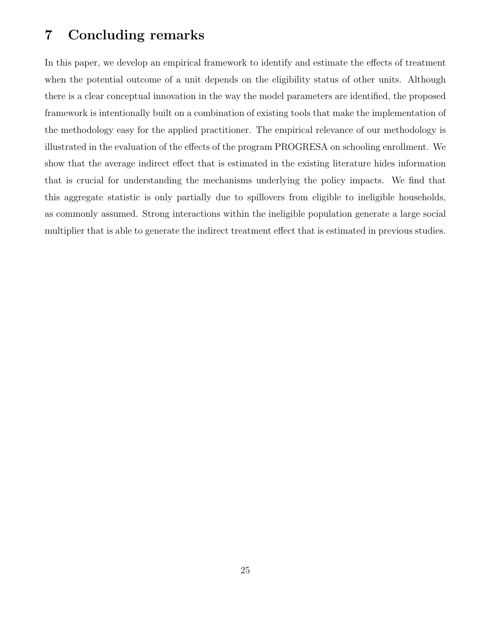### 7 Concluding remarks

In this paper, we develop an empirical framework to identify and estimate the effects of treatment when the potential outcome of a unit depends on the eligibility status of other units. Although there is a clear conceptual innovation in the way the model parameters are identified, the proposed framework is intentionally built on a combination of existing tools that make the implementation of the methodology easy for the applied practitioner. The empirical relevance of our methodology is illustrated in the evaluation of the effects of the program PROGRESA on schooling enrollment. We show that the average indirect effect that is estimated in the existing literature hides information that is crucial for understanding the mechanisms underlying the policy impacts. We find that this aggregate statistic is only partially due to spillovers from eligible to ineligible households, as commonly assumed. Strong interactions within the ineligible population generate a large social multiplier that is able to generate the indirect treatment effect that is estimated in previous studies.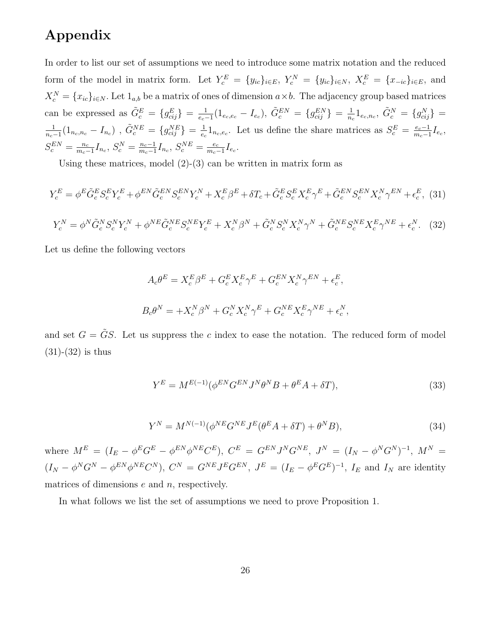# Appendix

In order to list our set of assumptions we need to introduce some matrix notation and the reduced form of the model in matrix form. Let  $Y_c^E = \{y_{ic}\}_{i \in E}$ ,  $Y_c^N = \{y_{ic}\}_{i \in N}$ ,  $X_c^E = \{x_{-ic}\}_{i \in E}$ , and  $X_c^N = \{x_{ic}\}_{i \in N}$ . Let  $1_{a,b}$  be a matrix of ones of dimension  $a \times b$ . The adjacency group based matrices can be expressed as  $\tilde{G}_c^E = \{g_{cij}^E\} = \frac{1}{e_c}$  $\frac{1}{e_c-1}(1_{e_c,e_c}-I_{e_c}),\ \tilde{G}^{EN}_c = \{g^{EN}_{cij}\} = \frac{1}{n_c}$  $\frac{1}{n_c} 1_{e_c,n_c}, \ \tilde{G}_c^N = \{g^N_{cij}\} =$ 1  $\frac{1}{n_{c}-1}(1_{n_{c},n_{c}}-I_{n_{c}})\,\,,\,\tilde{G}_{c}^{NE}=\{g_{cij}^{NE}\}=\frac{1}{e_{c}}$  $\frac{1}{e_c} \mathbb{1}_{n_c,e_c}$ . Let us define the share matrices as  $S_c^E = \frac{e_c-1}{m_c-1}$  $\frac{e_c-1}{m_c-1}I_{e_c},$  $S_c^{EN} = \frac{n_c}{m_c}$  $\frac{n_c}{m_c-1}I_{n_c}, S_c^N = \frac{n_c-1}{m_c-1}$  $\frac{n_c-1}{m_c-1}I_{n_c},\ S^{NE}_c=\frac{e_c}{m_c-1}$  $\frac{e_c}{m_c-1}I_{e_c}$ .

Using these matrices, model  $(2)-(3)$  can be written in matrix form as

$$
Y_c^E = \phi^E \tilde{G}_c^E S_c^E Y_c^E + \phi^{EN} \tilde{G}_c^{EN} S_c^{EN} Y_c^N + X_c^E \beta^E + \delta T_c + \tilde{G}_c^E S_c^E X_c^E \gamma^E + \tilde{G}_c^{EN} S_c^{EN} X_c^N \gamma^{EN} + \epsilon_c^E, (31)
$$

$$
Y_c^N = \phi^N \tilde{G}_c^N S_c^N Y_c^N + \phi^{NE} \tilde{G}_c^{NE} S_c^{NE} Y_c^E + X_c^N \beta^N + \tilde{G}_c^N S_c^N X_c^N \gamma^N + \tilde{G}_c^{NE} S_c^{NE} X_c^E \gamma^{NE} + \epsilon_c^N. \tag{32}
$$

Let us define the following vectors

$$
A_c \theta^E = X_c^E \beta^E + G_c^E X_c^E \gamma^E + G_c^{EN} X_c^N \gamma^{EN} + \epsilon_c^E,
$$
  

$$
B_c \theta^N = +X_c^N \beta^N + G_c^N X_c^N \gamma^E + G_c^{NE} X_c^E \gamma^{NE} + \epsilon_c^N,
$$

and set  $G = \tilde{G}S$ . Let us suppress the c index to ease the notation. The reduced form of model  $(31)-(32)$  is thus

$$
Y^{E} = M^{E(-1)} (\phi^{EN} G^{EN} J^{N} \theta^{N} B + \theta^{E} A + \delta T), \qquad (33)
$$

$$
Y^N = M^{N(-1)}(\phi^{NE}G^{NE}J^E(\theta^E A + \delta T) + \theta^N B), \tag{34}
$$

where  $M^E = (I_E - \phi^E G^E - \phi^{EN} \phi^{NE} C^E)$ ,  $C^E = G^{EN} J^N G^{NE}$ ,  $J^N = (I_N - \phi^N G^N)^{-1}$ ,  $M^N =$  $(I_N - \phi^N G^N - \phi^{EN} \phi^{NE} C^N)$ ,  $C^N = G^{NE} J^E G^{EN}$ ,  $J^E = (I_E - \phi^E G^E)^{-1}$ ,  $I_E$  and  $I_N$  are identity matrices of dimensions  $e$  and  $n$ , respectively.

In what follows we list the set of assumptions we need to prove Proposition 1.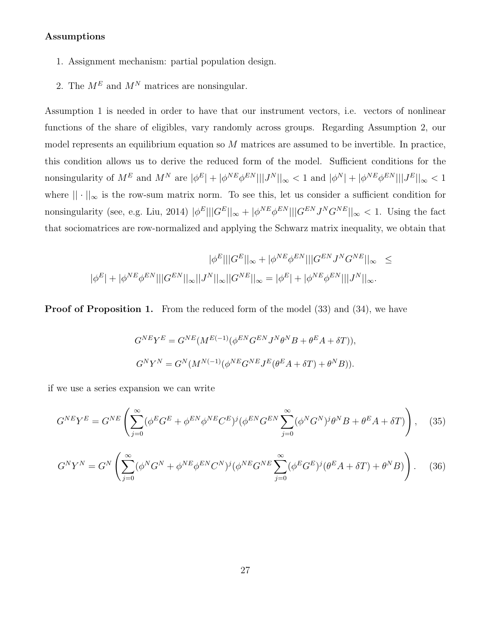#### Assumptions

- 1. Assignment mechanism: partial population design.
- 2. The  $M^E$  and  $M^N$  matrices are nonsingular.

Assumption 1 is needed in order to have that our instrument vectors, i.e. vectors of nonlinear functions of the share of eligibles, vary randomly across groups. Regarding Assumption 2, our model represents an equilibrium equation so M matrices are assumed to be invertible. In practice, this condition allows us to derive the reduced form of the model. Sufficient conditions for the nonsingularity of  $M^E$  and  $M^N$  are  $|\phi^E| + |\phi^{NE} \phi^{EN}|||J^N||_{\infty} < 1$  and  $|\phi^N| + |\phi^{NE} \phi^{EN}|||J^E||_{\infty} < 1$ where  $|| \cdot ||_{\infty}$  is the row-sum matrix norm. To see this, let us consider a sufficient condition for nonsingularity (see, e.g. Liu, 2014)  $|\phi^E|||G^E||_{\infty} + |\phi^{NE}\phi^{EN}|||G^{EN}J^N G^{NE}||_{\infty} < 1$ . Using the fact that sociomatrices are row-normalized and applying the Schwarz matrix inequality, we obtain that

$$
|\phi^E|||G^E||_{\infty} + |\phi^{NE}\phi^{EN}|||G^{EN}J^NG^{NE}||_{\infty} \le
$$
  

$$
|\phi^E| + |\phi^{NE}\phi^{EN}|||G^{EN}||_{\infty}||J^N||_{\infty}||G^{NE}||_{\infty} = |\phi^E| + |\phi^{NE}\phi^{EN}|||J^N||_{\infty}.
$$

**Proof of Proposition 1.** From the reduced form of the model (33) and (34), we have

$$
G^{NE}Y^{E} = G^{NE}(M^{E(-1)}(\phi^{EN}G^{EN}J^{N}\theta^{N}B + \theta^{E}A + \delta T)),
$$
  

$$
G^{N}Y^{N} = G^{N}(M^{N(-1)}(\phi^{NE}G^{NE}J^{E}(\theta^{E}A + \delta T) + \theta^{N}B)).
$$

if we use a series expansion we can write

$$
G^{NE}Y^{E} = G^{NE}\left(\sum_{j=0}^{\infty} (\phi^{E}G^{E} + \phi^{EN}\phi^{NE}C^{E})^{j}(\phi^{EN}G^{EN}\sum_{j=0}^{\infty} (\phi^{N}G^{N})^{j}\theta^{N}B + \theta^{E}A + \delta T)\right), \quad (35)
$$

$$
G^N Y^N = G^N \left( \sum_{j=0}^{\infty} (\phi^N G^N + \phi^{NE} \phi^{EN} C^N)^j (\phi^{NE} G^{NE} \sum_{j=0}^{\infty} (\phi^E G^E)^j (\theta^E A + \delta T) + \theta^N B) \right). \tag{36}
$$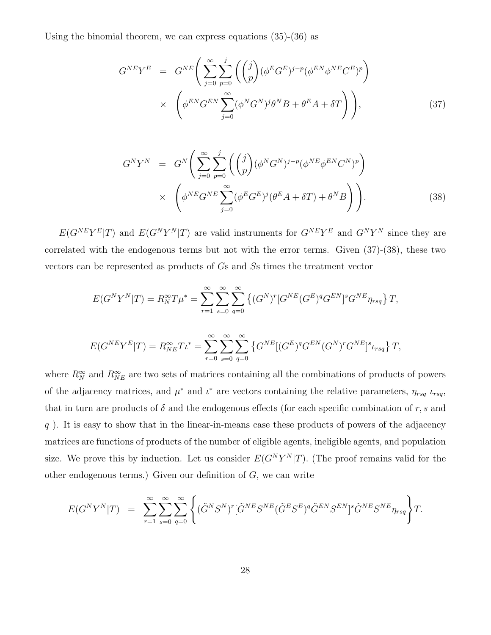Using the binomial theorem, we can express equations  $(35)-(36)$  as

$$
G^{NE}Y^{E} = G^{NE} \left( \sum_{j=0}^{\infty} \sum_{p=0}^{j} \left( \binom{j}{p} (\phi^{E} G^{E})^{j-p} (\phi^{EN} \phi^{NE} C^{E})^{p} \right) \times \left( \phi^{EN} G^{EN} \sum_{j=0}^{\infty} (\phi^{N} G^{N})^{j} \theta^{N} B + \theta^{E} A + \delta T \right) \right), \tag{37}
$$

$$
G^{N}Y^{N} = G^{N}\left(\sum_{j=0}^{\infty}\sum_{p=0}^{j}\left(\binom{j}{p}(\phi^{N}G^{N})^{j-p}(\phi^{NE}\phi^{EN}C^{N})^{p}\right) \times \left(\phi^{NE}G^{NE}\sum_{j=0}^{\infty}(\phi^{E}G^{E})^{j}(\theta^{E}A+\delta T)+\theta^{N}B\right)\right).
$$
\n(38)

 $E(G^{NE}Y^{E}|T)$  and  $E(G^{N}Y^{N}|T)$  are valid instruments for  $G^{NE}Y^{E}$  and  $G^{N}Y^{N}$  since they are correlated with the endogenous terms but not with the error terms. Given (37)-(38), these two vectors can be represented as products of Gs and Ss times the treatment vector

$$
E(G^{N}Y^{N}|T) = R_{N}^{\infty}T\mu^{*} = \sum_{r=1}^{\infty} \sum_{s=0}^{\infty} \sum_{q=0}^{\infty} \left\{ (G^{N})^{r} [G^{NE}(G^{E})^{q} G^{EN}]^{s} G^{NE} \eta_{rsq} \right\} T,
$$

$$
E(G^{NE}Y^{E}|T) = R_{NE}^{\infty}T\iota^{*} = \sum_{r=0}^{\infty} \sum_{s=0}^{\infty} \sum_{q=0}^{\infty} \left\{ G^{NE}[(G^{E})^{q}G^{EN}(G^{N})^{r}G^{NE}]^{s} \iota_{rsq} \right\} T,
$$

where  $R_N^{\infty}$  and  $R_{NE}^{\infty}$  are two sets of matrices containing all the combinations of products of powers of the adjacency matrices, and  $\mu^*$  and  $\iota^*$  are vectors containing the relative parameters,  $\eta_{rsq}$   $\iota_{rsq}$ , that in turn are products of  $\delta$  and the endogenous effects (for each specific combination of r, s and  $q$ ). It is easy to show that in the linear-in-means case these products of powers of the adjacency matrices are functions of products of the number of eligible agents, ineligible agents, and population size. We prove this by induction. Let us consider  $E(G^N Y^N|T)$ . (The proof remains valid for the other endogenous terms.) Given our definition of  $G$ , we can write

$$
E(G^N Y^N | T) = \sum_{r=1}^{\infty} \sum_{s=0}^{\infty} \sum_{q=0}^{\infty} \left\{ (\tilde{G}^N S^N)^r [\tilde{G}^{NE} S^{NE} (\tilde{G}^E S^E)^q \tilde{G}^{EN} S^{EN}]^s \tilde{G}^{NE} S^{NE} \eta_{rsq} \right\} T.
$$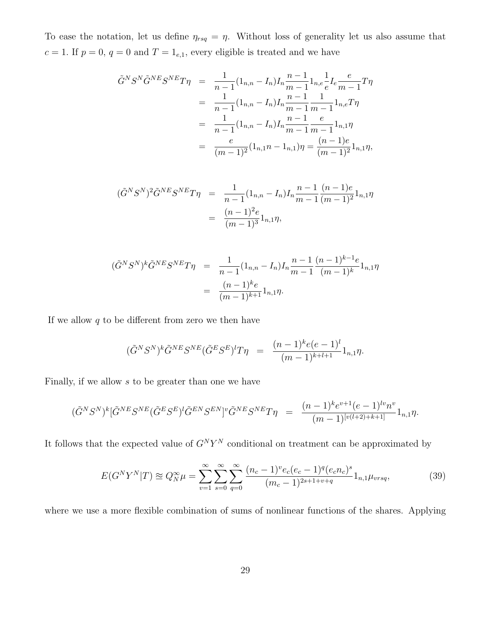To ease the notation, let us define  $\eta_{rsq} = \eta$ . Without loss of generality let us also assume that  $c = 1$ . If  $p = 0$ ,  $q = 0$  and  $T = 1_{e,1}$ , every eligible is treated and we have

$$
\tilde{G}^{N}S^{N}\tilde{G}^{NE}S^{NE}T\eta = \frac{1}{n-1}(1_{n,n} - I_{n})I_{n}\frac{n-1}{m-1}1_{n,e} \frac{1}{e}I_{e}\frac{e}{m-1}T\eta
$$
  
\n
$$
= \frac{1}{n-1}(1_{n,n} - I_{n})I_{n}\frac{n-1}{m-1}\frac{1}{m-1}1_{n,e}T\eta
$$
  
\n
$$
= \frac{1}{n-1}(1_{n,n} - I_{n})I_{n}\frac{n-1}{m-1}\frac{e}{m-1}1_{n,1}\eta
$$
  
\n
$$
= \frac{e}{(m-1)^{2}}(1_{n,1}n - 1_{n,1})\eta = \frac{(n-1)e}{(m-1)^{2}}1_{n,1}\eta,
$$

$$
(\tilde{G}^N S^N)^2 \tilde{G}^{NE} S^{NE} T \eta = \frac{1}{n-1} (1_{n,n} - I_n) I_n \frac{n-1}{m-1} \frac{(n-1)e}{(m-1)^2} 1_{n,1} \eta
$$
  
= 
$$
\frac{(n-1)^2 e}{(m-1)^3} 1_{n,1} \eta,
$$

$$
(\tilde{G}^N S^N)^k \tilde{G}^{NE} S^{NE} T \eta = \frac{1}{n-1} (1_{n,n} - I_n) I_n \frac{n-1}{m-1} \frac{(n-1)^{k-1} e}{(m-1)^k} 1_{n,1} \eta
$$
  
= 
$$
\frac{(n-1)^k e}{(m-1)^{k+1}} 1_{n,1} \eta.
$$

If we allow  $q$  to be different from zero we then have

$$
(\tilde{G}^{N}S^{N})^{k}\tilde{G}^{NE}S^{NE}(\tilde{G}^{E}S^{E})^{l}T\eta = \frac{(n-1)^{k}e(e-1)^{l}}{(m-1)^{k+l+1}}1_{n,1}\eta.
$$

Finally, if we allow s to be greater than one we have

$$
(\tilde{G}^N S^N)^k [\tilde{G}^{NE} S^{NE} (\tilde{G}^E S^E)^l \tilde{G}^{EN} S^{EN}]^v \tilde{G}^{NE} S^{NE} T \eta = \frac{(n-1)^k e^{v+1} (e-1)^{lv} n^v}{(m-1)^{[v(l+2)+k+1]}} 1_{n,1} \eta.
$$

It follows that the expected value of  $G^N Y^N$  conditional on treatment can be approximated by

$$
E(G^{N}Y^{N}|T) \approx Q_{N}^{\infty} \mu = \sum_{v=1}^{\infty} \sum_{s=0}^{\infty} \sum_{q=0}^{\infty} \frac{(n_{c}-1)^{v} e_{c}(e_{c}-1)^{q} (e_{c}n_{c})^{s}}{(m_{c}-1)^{2s+1+v+q}} 1_{n,1} \mu_{vrsq},
$$
\n(39)

where we use a more flexible combination of sums of nonlinear functions of the shares. Applying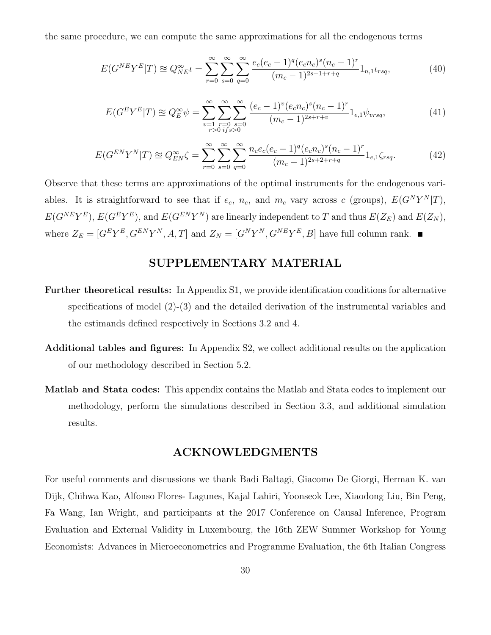the same procedure, we can compute the same approximations for all the endogenous terms

$$
E(G^{NE}Y^{E}|T) \approx Q_{NE}^{\infty} \iota = \sum_{r=0}^{\infty} \sum_{s=0}^{\infty} \sum_{q=0}^{\infty} \frac{e_c(e_c-1)^q (e_c n_c)^s (n_c-1)^r}{(m_c-1)^{2s+1+r+q}} 1_{n,1} \iota_{rsq},\tag{40}
$$

$$
E(G^E Y^E | T) \approx Q_E^{\infty} \psi = \sum_{\substack{v=1 \ r>0}}^{\infty} \sum_{\substack{r=0 \ r>0}}^{\infty} \sum_{\substack{s=0 \ r>0}}^{\infty} \frac{(e_c - 1)^v (e_c n_c)^s (n_c - 1)^r}{(m_c - 1)^{2s + r + v}} 1_{e,1} \psi_{vrsq}, \tag{41}
$$

$$
E(G^{EN}Y^N|T) \approx Q_{EN}^{\infty}\zeta = \sum_{r=0}^{\infty} \sum_{s=0}^{\infty} \sum_{q=0}^{\infty} \frac{n_c e_c (e_c - 1)^q (e_c n_c)^s (n_c - 1)^r}{(m_c - 1)^{2s + 2 + r + q}} 1_{e,1} \zeta_{rsq}.
$$
 (42)

Observe that these terms are approximations of the optimal instruments for the endogenous variables. It is straightforward to see that if  $e_c$ ,  $n_c$ , and  $m_c$  vary across c (groups),  $E(G^N Y^N|T)$ ,  $E(G^{NE}Y^{E}), E(G^{E}Y^{E}),$  and  $E(G^{EN}Y^{N})$  are linearly independent to T and thus  $E(Z_{E})$  and  $E(Z_{N}),$ where  $Z_E = [G^{E}Y^{E}, G^{EN}Y^{N}, A, T]$  and  $Z_N = [G^{N}Y^{N}, G^{NE}Y^{E}, B]$  have full column rank.

#### SUPPLEMENTARY MATERIAL

- Further theoretical results: In Appendix S1, we provide identification conditions for alternative specifications of model (2)-(3) and the detailed derivation of the instrumental variables and the estimands defined respectively in Sections 3.2 and 4.
- Additional tables and figures: In Appendix S2, we collect additional results on the application of our methodology described in Section 5.2.
- Matlab and Stata codes: This appendix contains the Matlab and Stata codes to implement our methodology, perform the simulations described in Section 3.3, and additional simulation results.

#### ACKNOWLEDGMENTS

For useful comments and discussions we thank Badi Baltagi, Giacomo De Giorgi, Herman K. van Dijk, Chihwa Kao, Alfonso Flores- Lagunes, Kajal Lahiri, Yoonseok Lee, Xiaodong Liu, Bin Peng, Fa Wang, Ian Wright, and participants at the 2017 Conference on Causal Inference, Program Evaluation and External Validity in Luxembourg, the 16th ZEW Summer Workshop for Young Economists: Advances in Microeconometrics and Programme Evaluation, the 6th Italian Congress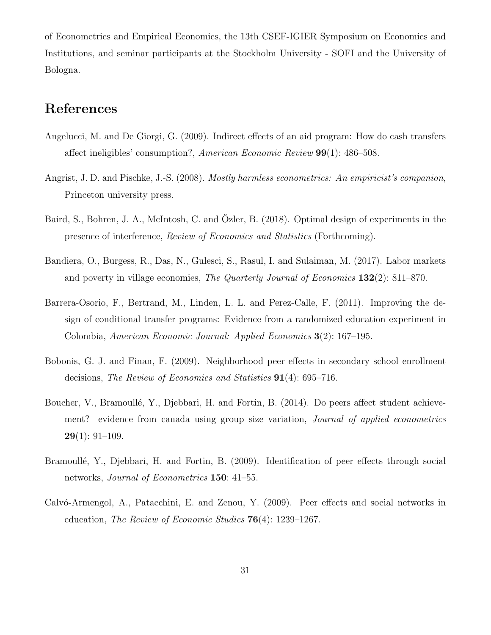of Econometrics and Empirical Economics, the 13th CSEF-IGIER Symposium on Economics and Institutions, and seminar participants at the Stockholm University - SOFI and the University of Bologna.

# References

- Angelucci, M. and De Giorgi, G. (2009). Indirect effects of an aid program: How do cash transfers affect ineligibles' consumption?, American Economic Review 99(1): 486–508.
- Angrist, J. D. and Pischke, J.-S. (2008). Mostly harmless econometrics: An empiricist's companion, Princeton university press.
- Baird, S., Bohren, J. A., McIntosh, C. and Ozler, B. (2018). Optimal design of experiments in the presence of interference, Review of Economics and Statistics (Forthcoming).
- Bandiera, O., Burgess, R., Das, N., Gulesci, S., Rasul, I. and Sulaiman, M. (2017). Labor markets and poverty in village economies, The Quarterly Journal of Economics 132(2): 811–870.
- Barrera-Osorio, F., Bertrand, M., Linden, L. L. and Perez-Calle, F. (2011). Improving the design of conditional transfer programs: Evidence from a randomized education experiment in Colombia, American Economic Journal: Applied Economics 3(2): 167–195.
- Bobonis, G. J. and Finan, F. (2009). Neighborhood peer effects in secondary school enrollment decisions, The Review of Economics and Statistics 91(4): 695–716.
- Boucher, V., Bramoullé, Y., Djebbari, H. and Fortin, B. (2014). Do peers affect student achievement? evidence from canada using group size variation, *Journal of applied econometrics*  $29(1): 91-109.$
- Bramoullé, Y., Djebbari, H. and Fortin, B. (2009). Identification of peer effects through social networks, *Journal of Econometrics* **150**: 41–55.
- Calvó-Armengol, A., Patacchini, E. and Zenou, Y. (2009). Peer effects and social networks in education, The Review of Economic Studies  $76(4)$ : 1239–1267.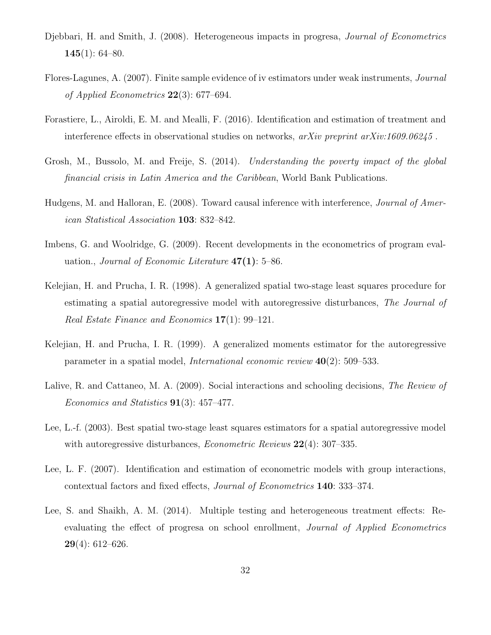- Djebbari, H. and Smith, J. (2008). Heterogeneous impacts in progresa, Journal of Econometrics  $145(1): 64-80.$
- Flores-Lagunes, A. (2007). Finite sample evidence of iv estimators under weak instruments, Journal of Applied Econometrics  $22(3)$ : 677–694.
- Forastiere, L., Airoldi, E. M. and Mealli, F. (2016). Identification and estimation of treatment and interference effects in observational studies on networks,  $arXiv$  preprint  $arXiv:1609.06245$ .
- Grosh, M., Bussolo, M. and Freije, S. (2014). Understanding the poverty impact of the global financial crisis in Latin America and the Caribbean, World Bank Publications.
- Hudgens, M. and Halloran, E. (2008). Toward causal inference with interference, Journal of American Statistical Association 103: 832–842.
- Imbens, G. and Woolridge, G. (2009). Recent developments in the econometrics of program evaluation., Journal of Economic Literature  $47(1)$ : 5–86.
- Kelejian, H. and Prucha, I. R. (1998). A generalized spatial two-stage least squares procedure for estimating a spatial autoregressive model with autoregressive disturbances, The Journal of Real Estate Finance and Economics 17(1): 99–121.
- Kelejian, H. and Prucha, I. R. (1999). A generalized moments estimator for the autoregressive parameter in a spatial model, International economic review 40(2): 509–533.
- Lalive, R. and Cattaneo, M. A. (2009). Social interactions and schooling decisions, The Review of Economics and Statistics  $91(3)$ : 457–477.
- Lee, L.-f. (2003). Best spatial two-stage least squares estimators for a spatial autoregressive model with autoregressive disturbances, *Econometric Reviews*  $22(4)$ : 307–335.
- Lee, L. F. (2007). Identification and estimation of econometric models with group interactions, contextual factors and fixed effects, Journal of Econometrics 140: 333–374.
- Lee, S. and Shaikh, A. M. (2014). Multiple testing and heterogeneous treatment effects: Reevaluating the effect of progresa on school enrollment, Journal of Applied Econometrics  $29(4): 612-626.$